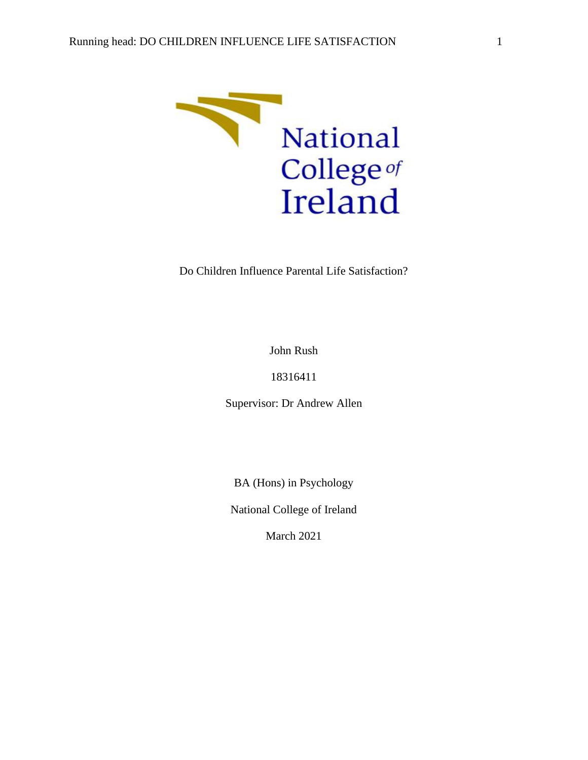

Do Children Influence Parental Life Satisfaction?

John Rush

18316411

Supervisor: Dr Andrew Allen

BA (Hons) in Psychology

National College of Ireland

March 2021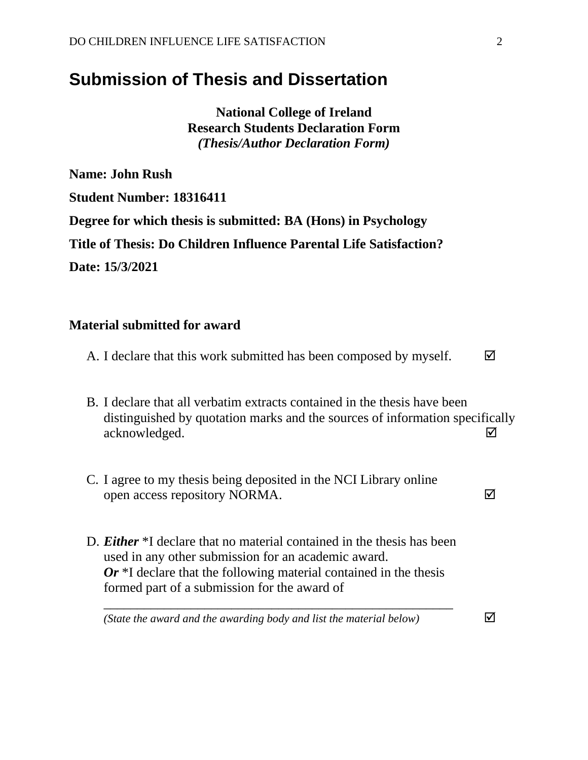# **Submission of Thesis and Dissertation**

**National College of Ireland Research Students Declaration Form** *(Thesis/Author Declaration Form)*

**Name: John Rush Student Number: 18316411 Degree for which thesis is submitted: BA (Hons) in Psychology Title of Thesis: Do Children Influence Parental Life Satisfaction? Date: 15/3/2021**

## **Material submitted for award**

|  |  |  |  |  |  | A. I declare that this work submitted has been composed by myself. |  | $\blacktriangledown$ |
|--|--|--|--|--|--|--------------------------------------------------------------------|--|----------------------|
|--|--|--|--|--|--|--------------------------------------------------------------------|--|----------------------|

- B. I declare that all verbatim extracts contained in the thesis have been distinguished by quotation marks and the sources of information specifically acknowledged.
- C. I agree to my thesis being deposited in the NCI Library online open access repository NORMA.
- D. *Either* \*I declare that no material contained in the thesis has been used in any other submission for an academic award. *Or* \*I declare that the following material contained in the thesis formed part of a submission for the award of

*\_\_\_\_\_\_\_\_\_\_\_\_\_\_\_\_\_\_\_\_\_\_\_\_\_\_\_\_\_\_\_\_\_\_\_\_\_\_\_\_\_\_\_\_\_\_\_\_\_\_\_\_*

*(State the award and the awarding body and list the material below)*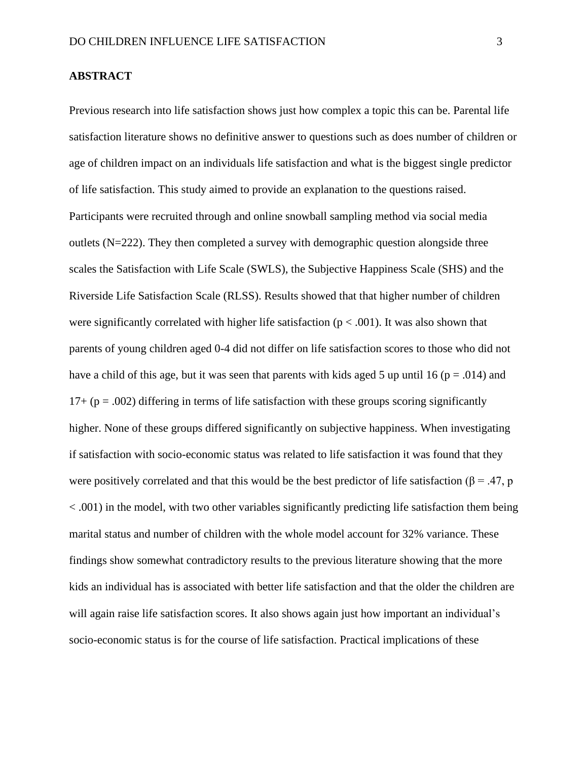#### **ABSTRACT**

Previous research into life satisfaction shows just how complex a topic this can be. Parental life satisfaction literature shows no definitive answer to questions such as does number of children or age of children impact on an individuals life satisfaction and what is the biggest single predictor of life satisfaction. This study aimed to provide an explanation to the questions raised. Participants were recruited through and online snowball sampling method via social media outlets (N=222). They then completed a survey with demographic question alongside three scales the Satisfaction with Life Scale (SWLS), the Subjective Happiness Scale (SHS) and the Riverside Life Satisfaction Scale (RLSS). Results showed that that higher number of children were significantly correlated with higher life satisfaction ( $p < .001$ ). It was also shown that parents of young children aged 0-4 did not differ on life satisfaction scores to those who did not have a child of this age, but it was seen that parents with kids aged 5 up until 16 ( $p = .014$ ) and  $17+(p = .002)$  differing in terms of life satisfaction with these groups scoring significantly higher. None of these groups differed significantly on subjective happiness. When investigating if satisfaction with socio-economic status was related to life satisfaction it was found that they were positively correlated and that this would be the best predictor of life satisfaction ( $\beta$  = .47, p < .001) in the model, with two other variables significantly predicting life satisfaction them being marital status and number of children with the whole model account for 32% variance. These findings show somewhat contradictory results to the previous literature showing that the more kids an individual has is associated with better life satisfaction and that the older the children are will again raise life satisfaction scores. It also shows again just how important an individual's socio-economic status is for the course of life satisfaction. Practical implications of these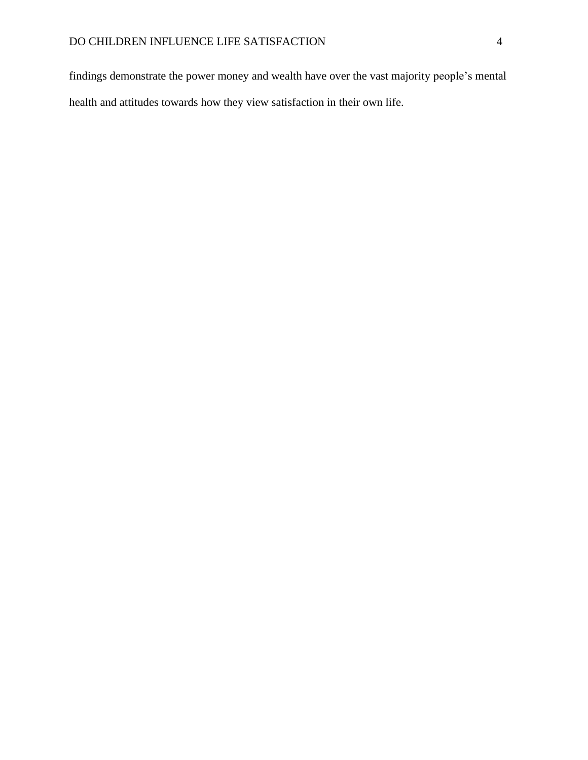findings demonstrate the power money and wealth have over the vast majority people's mental health and attitudes towards how they view satisfaction in their own life.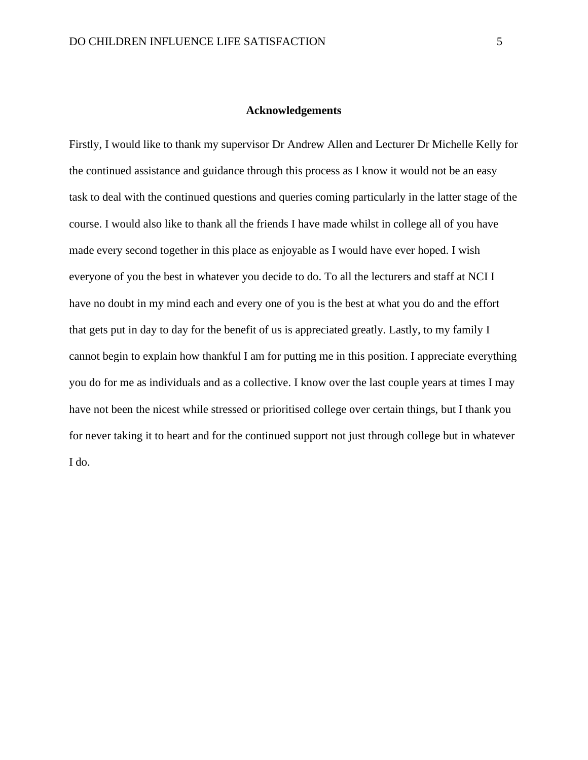#### **Acknowledgements**

Firstly, I would like to thank my supervisor Dr Andrew Allen and Lecturer Dr Michelle Kelly for the continued assistance and guidance through this process as I know it would not be an easy task to deal with the continued questions and queries coming particularly in the latter stage of the course. I would also like to thank all the friends I have made whilst in college all of you have made every second together in this place as enjoyable as I would have ever hoped. I wish everyone of you the best in whatever you decide to do. To all the lecturers and staff at NCI I have no doubt in my mind each and every one of you is the best at what you do and the effort that gets put in day to day for the benefit of us is appreciated greatly. Lastly, to my family I cannot begin to explain how thankful I am for putting me in this position. I appreciate everything you do for me as individuals and as a collective. I know over the last couple years at times I may have not been the nicest while stressed or prioritised college over certain things, but I thank you for never taking it to heart and for the continued support not just through college but in whatever I do.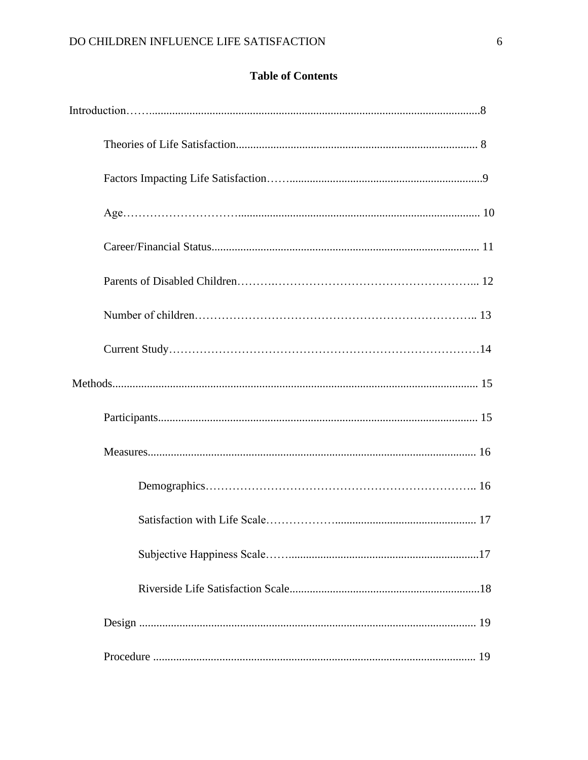# **Table of Contents**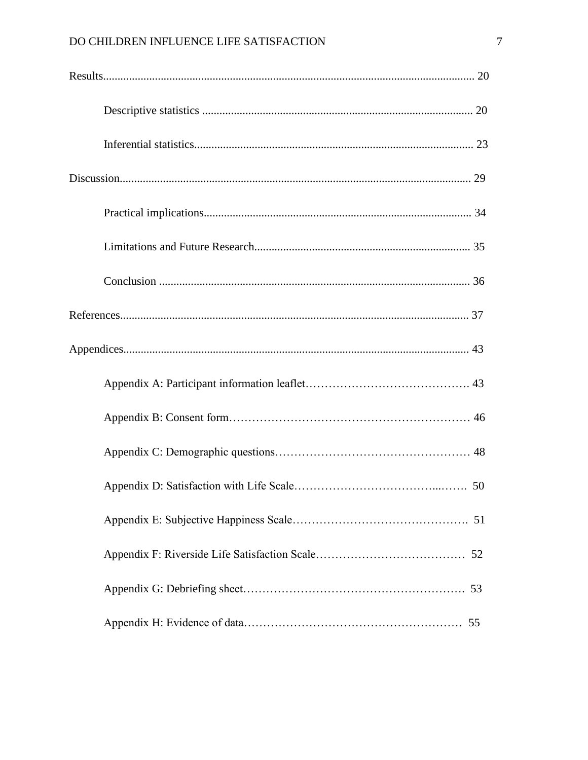# DO CHILDREN INFLUENCE LIFE SATISFACTION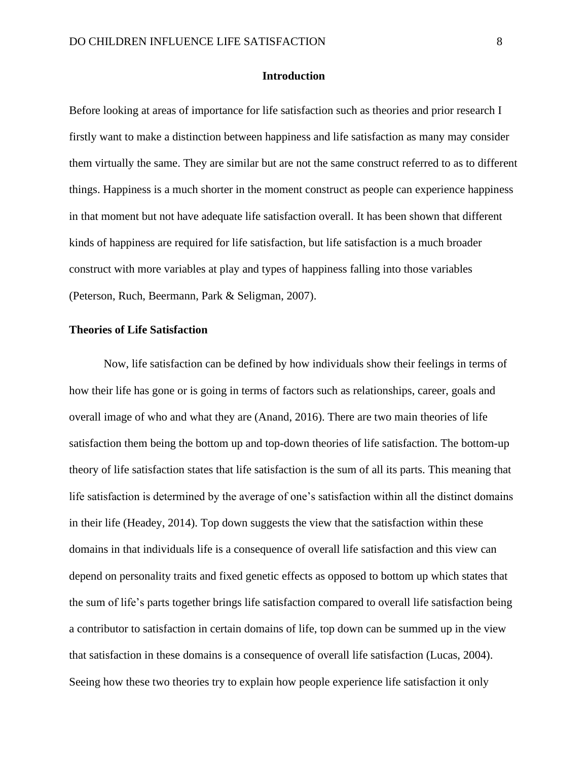#### **Introduction**

Before looking at areas of importance for life satisfaction such as theories and prior research I firstly want to make a distinction between happiness and life satisfaction as many may consider them virtually the same. They are similar but are not the same construct referred to as to different things. Happiness is a much shorter in the moment construct as people can experience happiness in that moment but not have adequate life satisfaction overall. It has been shown that different kinds of happiness are required for life satisfaction, but life satisfaction is a much broader construct with more variables at play and types of happiness falling into those variables (Peterson, Ruch, Beermann, Park & Seligman, 2007).

#### **Theories of Life Satisfaction**

Now, life satisfaction can be defined by how individuals show their feelings in terms of how their life has gone or is going in terms of factors such as relationships, career, goals and overall image of who and what they are (Anand, 2016). There are two main theories of life satisfaction them being the bottom up and top-down theories of life satisfaction. The bottom-up theory of life satisfaction states that life satisfaction is the sum of all its parts. This meaning that life satisfaction is determined by the average of one's satisfaction within all the distinct domains in their life (Headey, 2014). Top down suggests the view that the satisfaction within these domains in that individuals life is a consequence of overall life satisfaction and this view can depend on personality traits and fixed genetic effects as opposed to bottom up which states that the sum of life's parts together brings life satisfaction compared to overall life satisfaction being a contributor to satisfaction in certain domains of life, top down can be summed up in the view that satisfaction in these domains is a consequence of overall life satisfaction (Lucas, 2004). Seeing how these two theories try to explain how people experience life satisfaction it only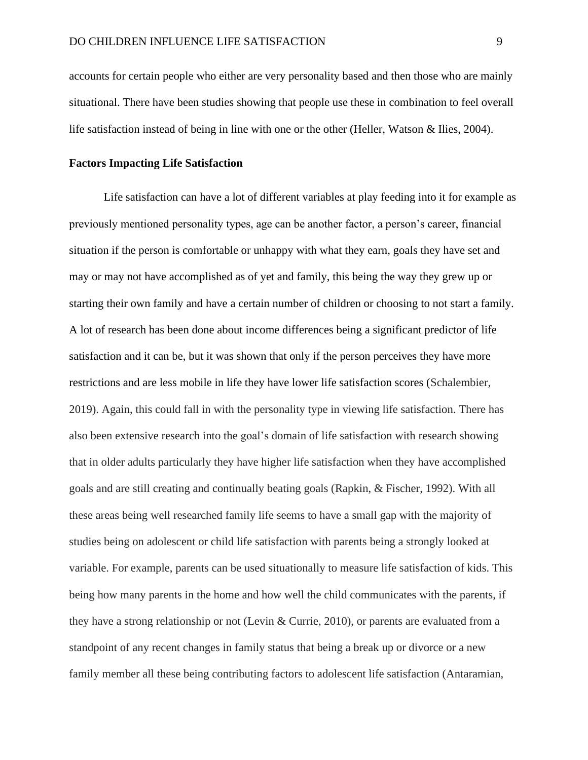accounts for certain people who either are very personality based and then those who are mainly situational. There have been studies showing that people use these in combination to feel overall life satisfaction instead of being in line with one or the other (Heller, Watson & Ilies, 2004).

#### **Factors Impacting Life Satisfaction**

Life satisfaction can have a lot of different variables at play feeding into it for example as previously mentioned personality types, age can be another factor, a person's career, financial situation if the person is comfortable or unhappy with what they earn, goals they have set and may or may not have accomplished as of yet and family, this being the way they grew up or starting their own family and have a certain number of children or choosing to not start a family. A lot of research has been done about income differences being a significant predictor of life satisfaction and it can be, but it was shown that only if the person perceives they have more restrictions and are less mobile in life they have lower life satisfaction scores (Schalembier, 2019). Again, this could fall in with the personality type in viewing life satisfaction. There has also been extensive research into the goal's domain of life satisfaction with research showing that in older adults particularly they have higher life satisfaction when they have accomplished goals and are still creating and continually beating goals (Rapkin, & Fischer, 1992). With all these areas being well researched family life seems to have a small gap with the majority of studies being on adolescent or child life satisfaction with parents being a strongly looked at variable. For example, parents can be used situationally to measure life satisfaction of kids. This being how many parents in the home and how well the child communicates with the parents, if they have a strong relationship or not (Levin & Currie, 2010), or parents are evaluated from a standpoint of any recent changes in family status that being a break up or divorce or a new family member all these being contributing factors to adolescent life satisfaction (Antaramian,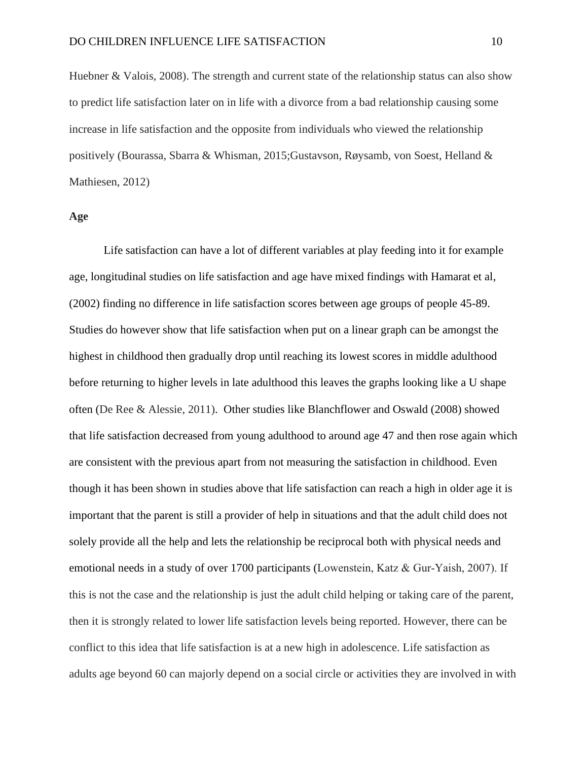Huebner & Valois, 2008). The strength and current state of the relationship status can also show to predict life satisfaction later on in life with a divorce from a bad relationship causing some increase in life satisfaction and the opposite from individuals who viewed the relationship positively (Bourassa, Sbarra & Whisman, 2015;Gustavson, Røysamb, von Soest, Helland & Mathiesen, 2012)

#### **Age**

Life satisfaction can have a lot of different variables at play feeding into it for example age, longitudinal studies on life satisfaction and age have mixed findings with Hamarat et al, (2002) finding no difference in life satisfaction scores between age groups of people 45-89. Studies do however show that life satisfaction when put on a linear graph can be amongst the highest in childhood then gradually drop until reaching its lowest scores in middle adulthood before returning to higher levels in late adulthood this leaves the graphs looking like a U shape often (De Ree & Alessie, 2011). Other studies like Blanchflower and Oswald (2008) showed that life satisfaction decreased from young adulthood to around age 47 and then rose again which are consistent with the previous apart from not measuring the satisfaction in childhood. Even though it has been shown in studies above that life satisfaction can reach a high in older age it is important that the parent is still a provider of help in situations and that the adult child does not solely provide all the help and lets the relationship be reciprocal both with physical needs and emotional needs in a study of over 1700 participants (Lowenstein, Katz & Gur-Yaish, 2007). If this is not the case and the relationship is just the adult child helping or taking care of the parent, then it is strongly related to lower life satisfaction levels being reported. However, there can be conflict to this idea that life satisfaction is at a new high in adolescence. Life satisfaction as adults age beyond 60 can majorly depend on a social circle or activities they are involved in with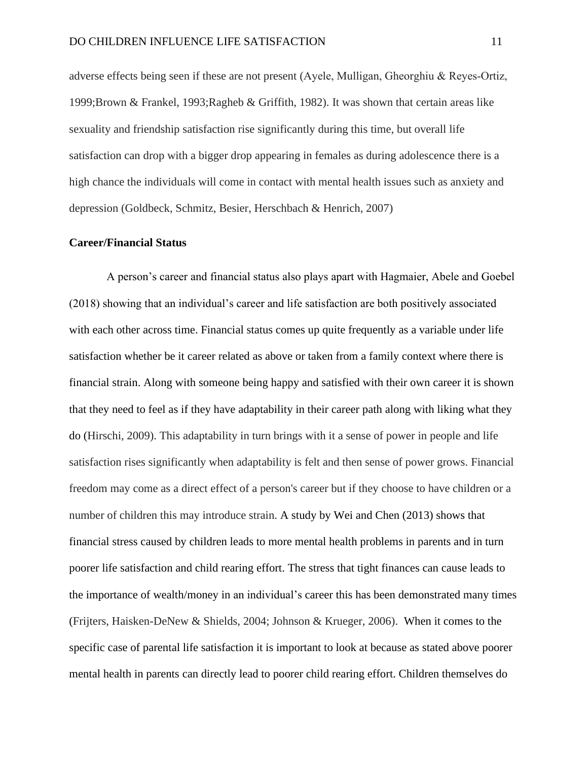adverse effects being seen if these are not present (Ayele, Mulligan, Gheorghiu & Reyes‐Ortiz, 1999;Brown & Frankel, 1993;Ragheb & Griffith, 1982). It was shown that certain areas like sexuality and friendship satisfaction rise significantly during this time, but overall life satisfaction can drop with a bigger drop appearing in females as during adolescence there is a high chance the individuals will come in contact with mental health issues such as anxiety and depression (Goldbeck, Schmitz, Besier, Herschbach & Henrich, 2007)

#### **Career/Financial Status**

A person's career and financial status also plays apart with Hagmaier, Abele and Goebel (2018) showing that an individual's career and life satisfaction are both positively associated with each other across time. Financial status comes up quite frequently as a variable under life satisfaction whether be it career related as above or taken from a family context where there is financial strain. Along with someone being happy and satisfied with their own career it is shown that they need to feel as if they have adaptability in their career path along with liking what they do (Hirschi, 2009). This adaptability in turn brings with it a sense of power in people and life satisfaction rises significantly when adaptability is felt and then sense of power grows. Financial freedom may come as a direct effect of a person's career but if they choose to have children or a number of children this may introduce strain. A study by Wei and Chen (2013) shows that financial stress caused by children leads to more mental health problems in parents and in turn poorer life satisfaction and child rearing effort. The stress that tight finances can cause leads to the importance of wealth/money in an individual's career this has been demonstrated many times (Frijters, Haisken-DeNew & Shields, 2004; Johnson & Krueger, 2006). When it comes to the specific case of parental life satisfaction it is important to look at because as stated above poorer mental health in parents can directly lead to poorer child rearing effort. Children themselves do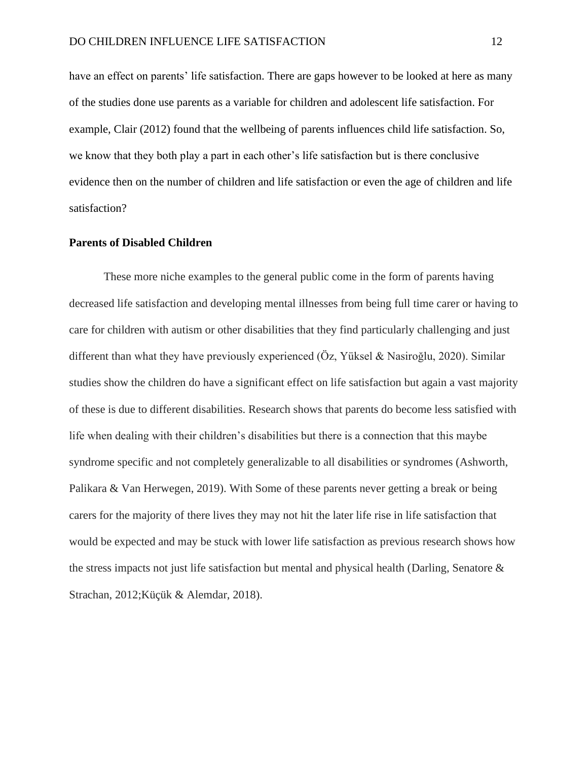have an effect on parents' life satisfaction. There are gaps however to be looked at here as many of the studies done use parents as a variable for children and adolescent life satisfaction. For example, Clair (2012) found that the wellbeing of parents influences child life satisfaction. So, we know that they both play a part in each other's life satisfaction but is there conclusive evidence then on the number of children and life satisfaction or even the age of children and life satisfaction?

#### **Parents of Disabled Children**

These more niche examples to the general public come in the form of parents having decreased life satisfaction and developing mental illnesses from being full time carer or having to care for children with autism or other disabilities that they find particularly challenging and just different than what they have previously experienced (Öz, Yüksel & Nasiroğlu, 2020). Similar studies show the children do have a significant effect on life satisfaction but again a vast majority of these is due to different disabilities. Research shows that parents do become less satisfied with life when dealing with their children's disabilities but there is a connection that this maybe syndrome specific and not completely generalizable to all disabilities or syndromes (Ashworth, Palikara & Van Herwegen, 2019). With Some of these parents never getting a break or being carers for the majority of there lives they may not hit the later life rise in life satisfaction that would be expected and may be stuck with lower life satisfaction as previous research shows how the stress impacts not just life satisfaction but mental and physical health (Darling, Senatore  $\&$ Strachan, 2012;Küçük & Alemdar, 2018).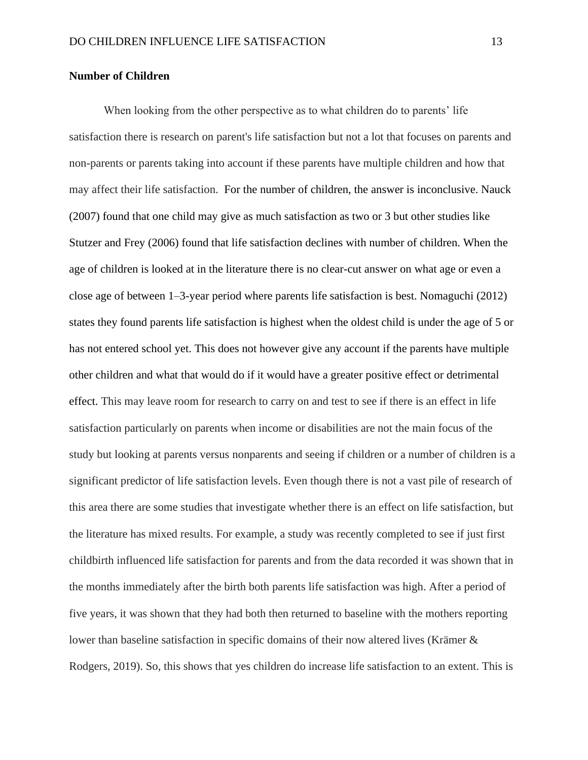#### **Number of Children**

When looking from the other perspective as to what children do to parents' life satisfaction there is research on parent's life satisfaction but not a lot that focuses on parents and non-parents or parents taking into account if these parents have multiple children and how that may affect their life satisfaction. For the number of children, the answer is inconclusive. Nauck (2007) found that one child may give as much satisfaction as two or 3 but other studies like Stutzer and Frey (2006) found that life satisfaction declines with number of children. When the age of children is looked at in the literature there is no clear-cut answer on what age or even a close age of between 1–3-year period where parents life satisfaction is best. Nomaguchi (2012) states they found parents life satisfaction is highest when the oldest child is under the age of 5 or has not entered school yet. This does not however give any account if the parents have multiple other children and what that would do if it would have a greater positive effect or detrimental effect. This may leave room for research to carry on and test to see if there is an effect in life satisfaction particularly on parents when income or disabilities are not the main focus of the study but looking at parents versus nonparents and seeing if children or a number of children is a significant predictor of life satisfaction levels. Even though there is not a vast pile of research of this area there are some studies that investigate whether there is an effect on life satisfaction, but the literature has mixed results. For example, a study was recently completed to see if just first childbirth influenced life satisfaction for parents and from the data recorded it was shown that in the months immediately after the birth both parents life satisfaction was high. After a period of five years, it was shown that they had both then returned to baseline with the mothers reporting lower than baseline satisfaction in specific domains of their now altered lives (Krämer & Rodgers, 2019). So, this shows that yes children do increase life satisfaction to an extent. This is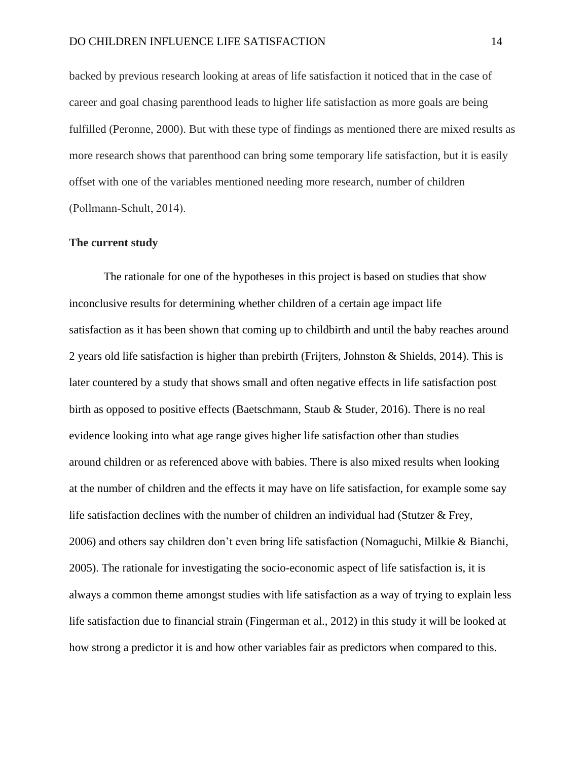backed by previous research looking at areas of life satisfaction it noticed that in the case of career and goal chasing parenthood leads to higher life satisfaction as more goals are being fulfilled (Peronne, 2000). But with these type of findings as mentioned there are mixed results as more research shows that parenthood can bring some temporary life satisfaction, but it is easily offset with one of the variables mentioned needing more research, number of children (Pollmann‐Schult, 2014).

#### **The current study**

The rationale for one of the hypotheses in this project is based on studies that show inconclusive results for determining whether children of a certain age impact life satisfaction as it has been shown that coming up to childbirth and until the baby reaches around 2 years old life satisfaction is higher than prebirth (Frijters, Johnston & Shields, 2014). This is later countered by a study that shows small and often negative effects in life satisfaction post birth as opposed to positive effects (Baetschmann, Staub & Studer, 2016). There is no real evidence looking into what age range gives higher life satisfaction other than studies around children or as referenced above with babies. There is also mixed results when looking at the number of children and the effects it may have on life satisfaction, for example some say life satisfaction declines with the number of children an individual had (Stutzer & Frey, 2006) and others say children don't even bring life satisfaction (Nomaguchi, Milkie & Bianchi, 2005). The rationale for investigating the socio-economic aspect of life satisfaction is, it is always a common theme amongst studies with life satisfaction as a way of trying to explain less life satisfaction due to financial strain (Fingerman et al., 2012) in this study it will be looked at how strong a predictor it is and how other variables fair as predictors when compared to this.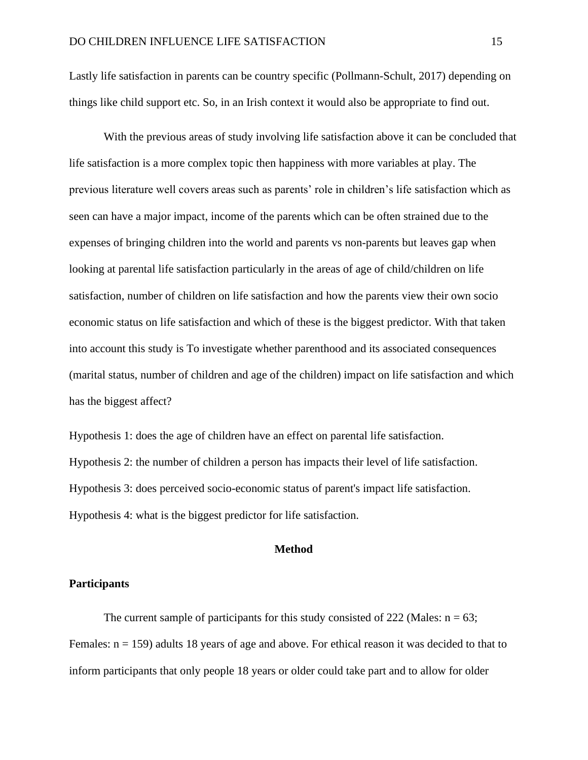Lastly life satisfaction in parents can be country specific (Pollmann-Schult, 2017) depending on things like child support etc. So, in an Irish context it would also be appropriate to find out.

With the previous areas of study involving life satisfaction above it can be concluded that life satisfaction is a more complex topic then happiness with more variables at play. The previous literature well covers areas such as parents' role in children's life satisfaction which as seen can have a major impact, income of the parents which can be often strained due to the expenses of bringing children into the world and parents vs non-parents but leaves gap when looking at parental life satisfaction particularly in the areas of age of child/children on life satisfaction, number of children on life satisfaction and how the parents view their own socio economic status on life satisfaction and which of these is the biggest predictor. With that taken into account this study is To investigate whether parenthood and its associated consequences (marital status, number of children and age of the children) impact on life satisfaction and which has the biggest affect?

Hypothesis 1: does the age of children have an effect on parental life satisfaction. Hypothesis 2: the number of children a person has impacts their level of life satisfaction. Hypothesis 3: does perceived socio-economic status of parent's impact life satisfaction. Hypothesis 4: what is the biggest predictor for life satisfaction.

#### **Method**

#### **Participants**

The current sample of participants for this study consisted of 222 (Males:  $n = 63$ ; Females:  $n = 159$ ) adults 18 years of age and above. For ethical reason it was decided to that to inform participants that only people 18 years or older could take part and to allow for older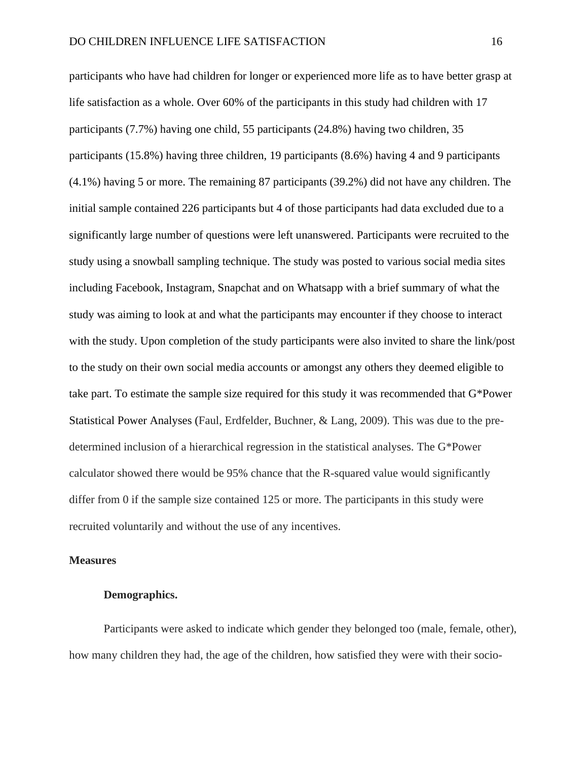participants who have had children for longer or experienced more life as to have better grasp at life satisfaction as a whole. Over 60% of the participants in this study had children with 17 participants (7.7%) having one child, 55 participants (24.8%) having two children, 35 participants (15.8%) having three children, 19 participants (8.6%) having 4 and 9 participants (4.1%) having 5 or more. The remaining 87 participants (39.2%) did not have any children. The initial sample contained 226 participants but 4 of those participants had data excluded due to a significantly large number of questions were left unanswered. Participants were recruited to the study using a snowball sampling technique. The study was posted to various social media sites including Facebook, Instagram, Snapchat and on Whatsapp with a brief summary of what the study was aiming to look at and what the participants may encounter if they choose to interact with the study. Upon completion of the study participants were also invited to share the link/post to the study on their own social media accounts or amongst any others they deemed eligible to take part. To estimate the sample size required for this study it was recommended that G\*Power Statistical Power Analyses (Faul, Erdfelder, Buchner, & Lang, 2009). This was due to the predetermined inclusion of a hierarchical regression in the statistical analyses. The G\*Power calculator showed there would be 95% chance that the R-squared value would significantly differ from 0 if the sample size contained 125 or more. The participants in this study were recruited voluntarily and without the use of any incentives.

#### **Measures**

#### **Demographics.**

Participants were asked to indicate which gender they belonged too (male, female, other), how many children they had, the age of the children, how satisfied they were with their socio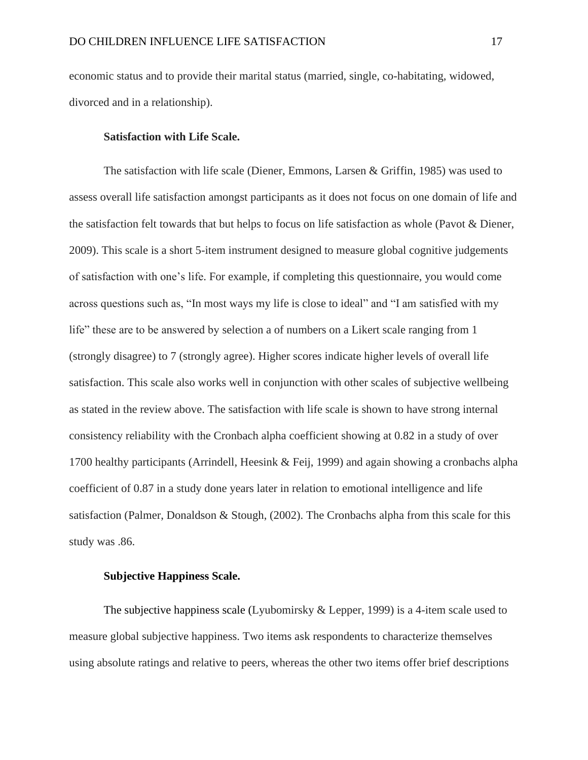economic status and to provide their marital status (married, single, co-habitating, widowed, divorced and in a relationship).

#### **Satisfaction with Life Scale.**

The satisfaction with life scale (Diener, Emmons, Larsen & Griffin, 1985) was used to assess overall life satisfaction amongst participants as it does not focus on one domain of life and the satisfaction felt towards that but helps to focus on life satisfaction as whole (Pavot & Diener, 2009). This scale is a short 5-item instrument designed to measure global cognitive judgements of satisfaction with one's life. For example, if completing this questionnaire, you would come across questions such as, "In most ways my life is close to ideal" and "I am satisfied with my life" these are to be answered by selection a of numbers on a Likert scale ranging from 1 (strongly disagree) to 7 (strongly agree). Higher scores indicate higher levels of overall life satisfaction. This scale also works well in conjunction with other scales of subjective wellbeing as stated in the review above. The satisfaction with life scale is shown to have strong internal consistency reliability with the Cronbach alpha coefficient showing at 0.82 in a study of over 1700 healthy participants (Arrindell, Heesink & Feij, 1999) and again showing a cronbachs alpha coefficient of 0.87 in a study done years later in relation to emotional intelligence and life satisfaction (Palmer, Donaldson & Stough,  $(2002)$ . The Cronbachs alpha from this scale for this study was .86.

#### **Subjective Happiness Scale.**

The subjective happiness scale (Lyubomirsky & Lepper, 1999) is a 4-item scale used to measure global subjective happiness. Two items ask respondents to characterize themselves using absolute ratings and relative to peers, whereas the other two items offer brief descriptions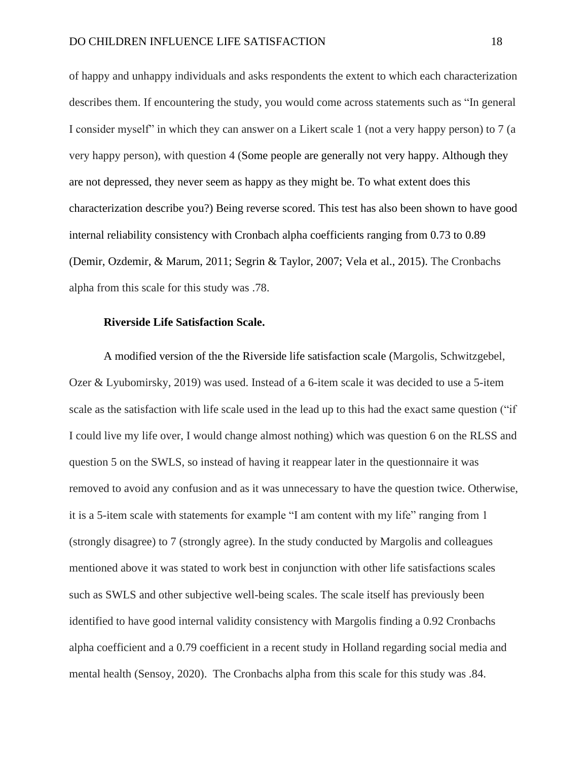of happy and unhappy individuals and asks respondents the extent to which each characterization describes them. If encountering the study, you would come across statements such as "In general I consider myself" in which they can answer on a Likert scale 1 (not a very happy person) to 7 (a very happy person), with question 4 (Some people are generally not very happy. Although they are not depressed, they never seem as happy as they might be. To what extent does this characterization describe you?) Being reverse scored. This test has also been shown to have good internal reliability consistency with Cronbach alpha coefficients ranging from 0.73 to 0.89 [\(Demir, Ozdemir, & Marum, 2011;](https://journals.sagepub.com/doi/full/10.1177/0739986316681298?casa_token=M-Mp64ipzEAAAAAA%3AAktBXes1H7_ybc0-jNkKRpgRUogYs3wuUhHAEpO5A-fRNYrLLbxnroQm3Ox3qKdfxx6kh3kFHOp7) [Segrin & Taylor, 2007;](https://journals.sagepub.com/doi/full/10.1177/0739986316681298?casa_token=M-Mp64ipzEAAAAAA%3AAktBXes1H7_ybc0-jNkKRpgRUogYs3wuUhHAEpO5A-fRNYrLLbxnroQm3Ox3qKdfxx6kh3kFHOp7) [Vela et al., 2015\)](https://journals.sagepub.com/doi/full/10.1177/0739986316681298?casa_token=M-Mp64ipzEAAAAAA%3AAktBXes1H7_ybc0-jNkKRpgRUogYs3wuUhHAEpO5A-fRNYrLLbxnroQm3Ox3qKdfxx6kh3kFHOp7). The Cronbachs alpha from this scale for this study was .78.

#### **Riverside Life Satisfaction Scale.**

A modified version of the the Riverside life satisfaction scale (Margolis, Schwitzgebel, Ozer & Lyubomirsky, 2019) was used. Instead of a 6-item scale it was decided to use a 5-item scale as the satisfaction with life scale used in the lead up to this had the exact same question ("if I could live my life over, I would change almost nothing) which was question 6 on the RLSS and question 5 on the SWLS, so instead of having it reappear later in the questionnaire it was removed to avoid any confusion and as it was unnecessary to have the question twice. Otherwise, it is a 5-item scale with statements for example "I am content with my life" ranging from 1 (strongly disagree) to 7 (strongly agree). In the study conducted by Margolis and colleagues mentioned above it was stated to work best in conjunction with other life satisfactions scales such as SWLS and other subjective well-being scales. The scale itself has previously been identified to have good internal validity consistency with Margolis finding a 0.92 Cronbachs alpha coefficient and a 0.79 coefficient in a recent study in Holland regarding social media and mental health (Sensoy, 2020). The Cronbachs alpha from this scale for this study was .84.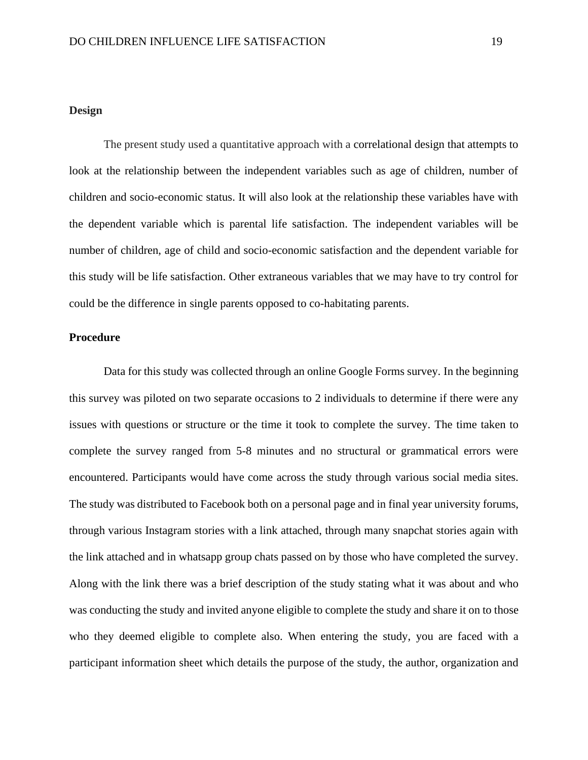#### **Design**

The present study used a quantitative approach with a correlational design that attempts to look at the relationship between the independent variables such as age of children, number of children and socio-economic status. It will also look at the relationship these variables have with the dependent variable which is parental life satisfaction. The independent variables will be number of children, age of child and socio-economic satisfaction and the dependent variable for this study will be life satisfaction. Other extraneous variables that we may have to try control for could be the difference in single parents opposed to co-habitating parents.

#### **Procedure**

Data for this study was collected through an online Google Forms survey. In the beginning this survey was piloted on two separate occasions to 2 individuals to determine if there were any issues with questions or structure or the time it took to complete the survey. The time taken to complete the survey ranged from 5-8 minutes and no structural or grammatical errors were encountered. Participants would have come across the study through various social media sites. The study was distributed to Facebook both on a personal page and in final year university forums, through various Instagram stories with a link attached, through many snapchat stories again with the link attached and in whatsapp group chats passed on by those who have completed the survey. Along with the link there was a brief description of the study stating what it was about and who was conducting the study and invited anyone eligible to complete the study and share it on to those who they deemed eligible to complete also. When entering the study, you are faced with a participant information sheet which details the purpose of the study, the author, organization and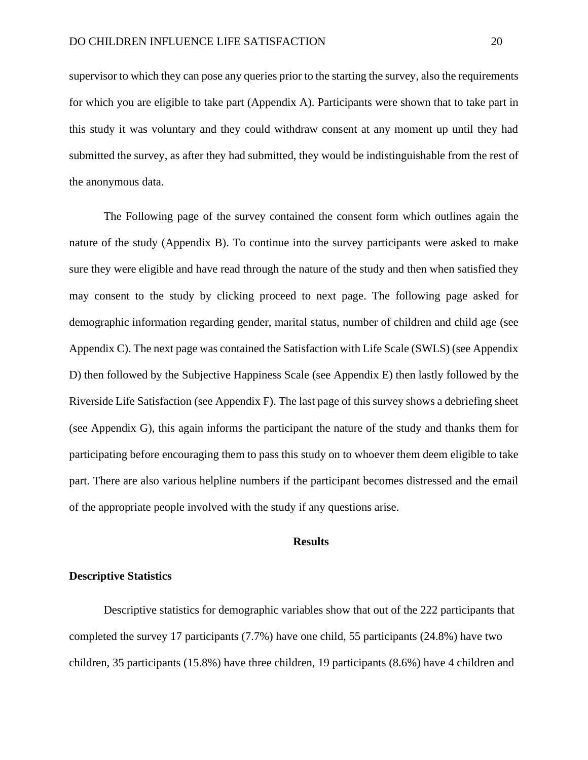supervisor to which they can pose any queries prior to the starting the survey, also the requirements for which you are eligible to take part (Appendix A). Participants were shown that to take part in this study it was voluntary and they could withdraw consent at any moment up until they had submitted the survey, as after they had submitted, they would be indistinguishable from the rest of the anonymous data.

The Following page of the survey contained the consent form which outlines again the nature of the study (Appendix B). To continue into the survey participants were asked to make sure they were eligible and have read through the nature of the study and then when satisfied they may consent to the study by clicking proceed to next page. The following page asked for demographic information regarding gender, marital status, number of children and child age (see Appendix C). The next page was contained the Satisfaction with Life Scale (SWLS) (see Appendix D) then followed by the Subjective Happiness Scale (see Appendix E) then lastly followed by the Riverside Life Satisfaction (see Appendix F). The last page of this survey shows a debriefing sheet (see Appendix G), this again informs the participant the nature of the study and thanks them for participating before encouraging them to pass this study on to whoever them deem eligible to take part. There are also various helpline numbers if the participant becomes distressed and the email of the appropriate people involved with the study if any questions arise.

#### **Results**

#### **Descriptive Statistics**

Descriptive statistics for demographic variables show that out of the 222 participants that completed the survey 17 participants (7.7%) have one child, 55 participants (24.8%) have two children, 35 participants (15.8%) have three children, 19 participants (8.6%) have 4 children and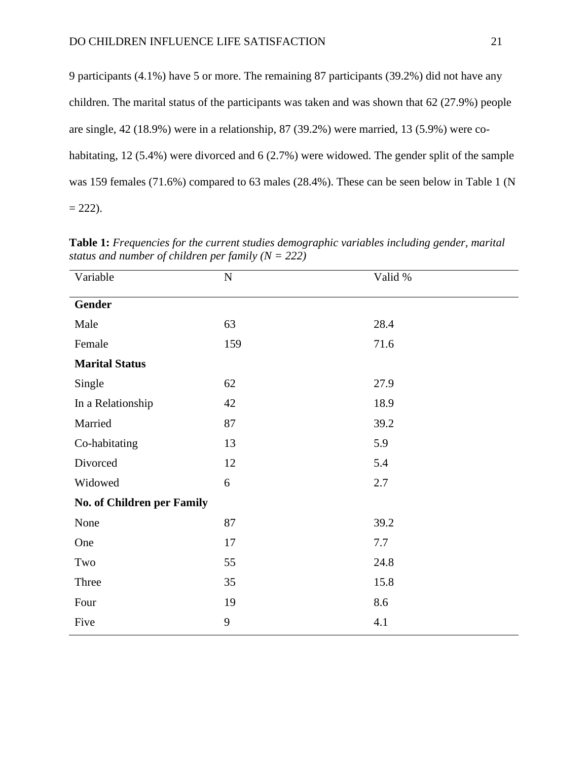| 9 participants (4.1%) have 5 or more. The remaining 87 participants (39.2%) did not have any      |
|---------------------------------------------------------------------------------------------------|
| children. The marital status of the participants was taken and was shown that $62$ (27.9%) people |
| are single, $42$ (18.9%) were in a relationship, 87 (39.2%) were married, 13 (5.9%) were co-      |
| habitating, 12 (5.4%) were divorced and 6 (2.7%) were widowed. The gender split of the sample     |
| was 159 females (71.6%) compared to 63 males (28.4%). These can be seen below in Table 1 (N       |
| $= 222$ ).                                                                                        |

| Variable                   | ${\bf N}$ | Valid % |
|----------------------------|-----------|---------|
| <b>Gender</b>              |           |         |
| Male                       | 63        | 28.4    |
| Female                     | 159       | 71.6    |
| <b>Marital Status</b>      |           |         |
| Single                     | 62        | 27.9    |
| In a Relationship          | 42        | 18.9    |
| Married                    | 87        | 39.2    |
| Co-habitating              | 13        | 5.9     |
| Divorced                   | 12        | 5.4     |
| Widowed                    | 6         | 2.7     |
| No. of Children per Family |           |         |
| None                       | 87        | 39.2    |
| One                        | 17        | 7.7     |
| Two                        | 55        | 24.8    |
| Three                      | 35        | 15.8    |
| Four                       | 19        | 8.6     |
| Five                       | 9         | 4.1     |

**Table 1:** *Frequencies for the current studies demographic variables including gender, marital status and number of children per family (N = 222)*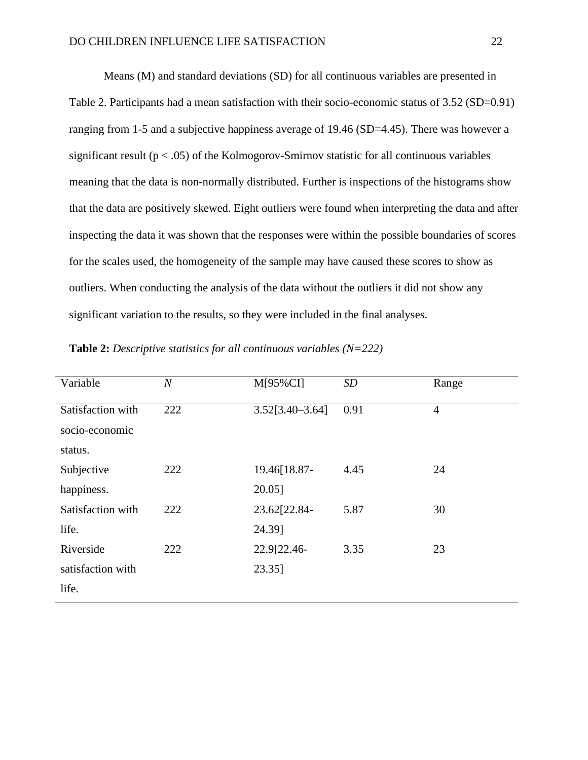Means (M) and standard deviations (SD) for all continuous variables are presented in Table 2. Participants had a mean satisfaction with their socio-economic status of 3.52 (SD=0.91) ranging from 1-5 and a subjective happiness average of 19.46 (SD=4.45). There was however a significant result ( $p < .05$ ) of the Kolmogorov-Smirnov statistic for all continuous variables meaning that the data is non-normally distributed. Further is inspections of the histograms show that the data are positively skewed. Eight outliers were found when interpreting the data and after inspecting the data it was shown that the responses were within the possible boundaries of scores for the scales used, the homogeneity of the sample may have caused these scores to show as outliers. When conducting the analysis of the data without the outliers it did not show any significant variation to the results, so they were included in the final analyses.

| $\overline{N}$ | $M[95\%CI]$         | SD   | Range          |
|----------------|---------------------|------|----------------|
| 222            | $3.52[3.40 - 3.64]$ | 0.91 | $\overline{4}$ |
|                |                     |      |                |
|                |                     |      |                |
| 222            | 19.46[18.87-        | 4.45 | 24             |
|                | 20.05]              |      |                |
| 222            | 23.62[22.84-        | 5.87 | 30             |
|                | 24.39]              |      |                |
| 222            | 22.9[22.46-         | 3.35 | 23             |
|                | 23.35]              |      |                |
|                |                     |      |                |
|                |                     |      |                |

**Table 2:** *Descriptive statistics for all continuous variables (N=222)*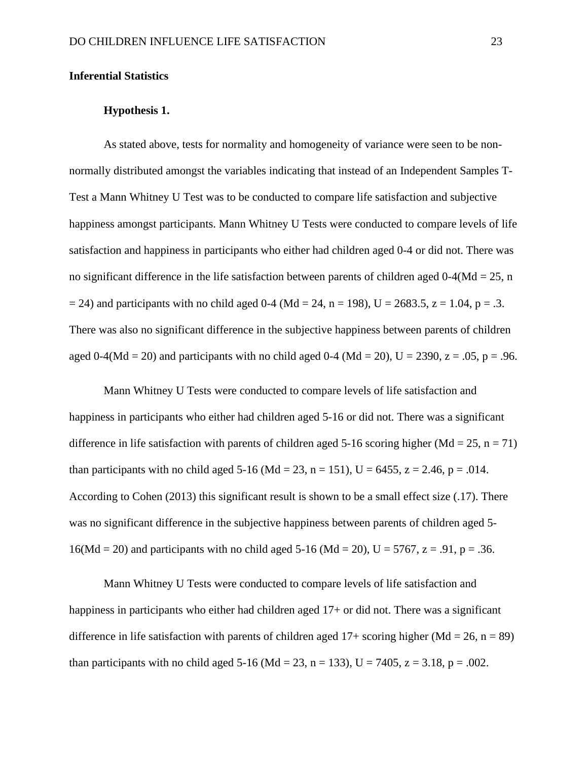#### **Inferential Statistics**

#### **Hypothesis 1.**

As stated above, tests for normality and homogeneity of variance were seen to be nonnormally distributed amongst the variables indicating that instead of an Independent Samples T-Test a Mann Whitney U Test was to be conducted to compare life satisfaction and subjective happiness amongst participants. Mann Whitney U Tests were conducted to compare levels of life satisfaction and happiness in participants who either had children aged 0-4 or did not. There was no significant difference in the life satisfaction between parents of children aged  $0-4$ (Md = 25, n  $= 24$ ) and participants with no child aged 0-4 (Md = 24, n = 198), U = 2683.5, z = 1.04, p = .3. There was also no significant difference in the subjective happiness between parents of children aged 0-4(Md = 20) and participants with no child aged 0-4 (Md = 20), U = 2390, z = .05, p = .96.

Mann Whitney U Tests were conducted to compare levels of life satisfaction and happiness in participants who either had children aged 5-16 or did not. There was a significant difference in life satisfaction with parents of children aged 5-16 scoring higher (Md = 25, n = 71) than participants with no child aged 5-16 (Md = 23, n = 151), U = 6455, z = 2.46, p = .014. According to Cohen (2013) this significant result is shown to be a small effect size (.17). There was no significant difference in the subjective happiness between parents of children aged 5-  $16(Md = 20)$  and participants with no child aged 5-16 (Md = 20), U = 5767, z = .91, p = .36.

Mann Whitney U Tests were conducted to compare levels of life satisfaction and happiness in participants who either had children aged 17+ or did not. There was a significant difference in life satisfaction with parents of children aged  $17+$  scoring higher (Md = 26, n = 89) than participants with no child aged 5-16 (Md = 23, n = 133), U = 7405, z = 3.18, p = .002.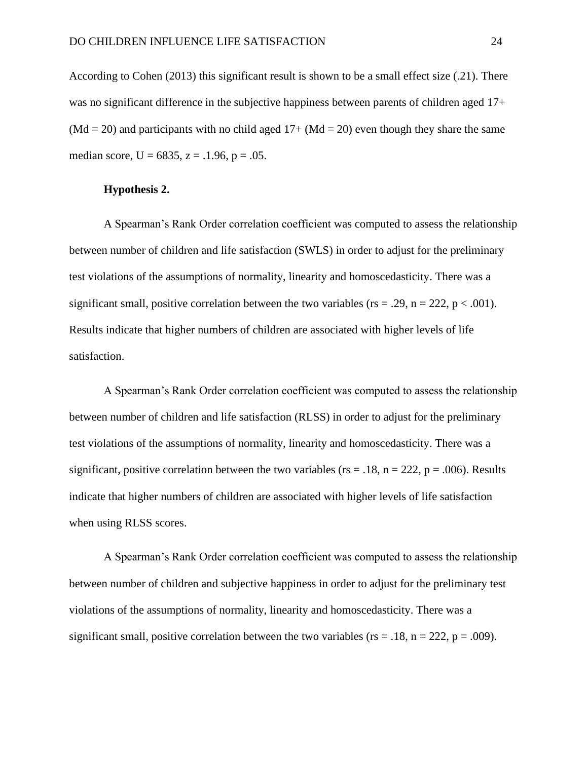According to Cohen (2013) this significant result is shown to be a small effect size (.21). There was no significant difference in the subjective happiness between parents of children aged 17+  $(Md = 20)$  and participants with no child aged  $17 + (Md = 20)$  even though they share the same median score,  $U = 6835$ ,  $z = .1.96$ ,  $p = .05$ .

#### **Hypothesis 2.**

A Spearman's Rank Order correlation coefficient was computed to assess the relationship between number of children and life satisfaction (SWLS) in order to adjust for the preliminary test violations of the assumptions of normality, linearity and homoscedasticity. There was a significant small, positive correlation between the two variables ( $rs = .29$ ,  $n = 222$ ,  $p < .001$ ). Results indicate that higher numbers of children are associated with higher levels of life satisfaction.

A Spearman's Rank Order correlation coefficient was computed to assess the relationship between number of children and life satisfaction (RLSS) in order to adjust for the preliminary test violations of the assumptions of normality, linearity and homoscedasticity. There was a significant, positive correlation between the two variables ( $rs = .18$ ,  $n = 222$ ,  $p = .006$ ). Results indicate that higher numbers of children are associated with higher levels of life satisfaction when using RLSS scores.

A Spearman's Rank Order correlation coefficient was computed to assess the relationship between number of children and subjective happiness in order to adjust for the preliminary test violations of the assumptions of normality, linearity and homoscedasticity. There was a significant small, positive correlation between the two variables ( $rs = .18$ ,  $n = 222$ ,  $p = .009$ ).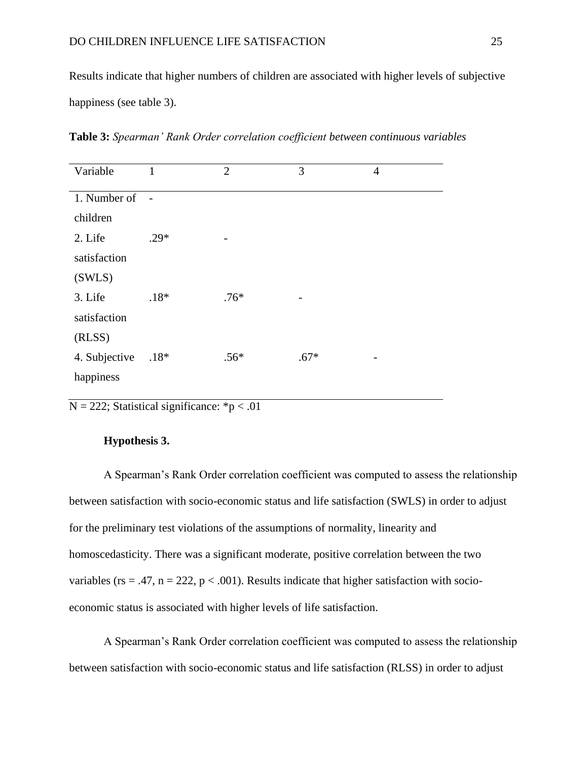Results indicate that higher numbers of children are associated with higher levels of subjective happiness (see table 3).

**Table 3:** *Spearman' Rank Order correlation coefficient between continuous variables*

| Variable      | 1      | $\overline{2}$ | 3      | $\overline{4}$ |
|---------------|--------|----------------|--------|----------------|
|               |        |                |        |                |
| 1. Number of  | $\sim$ |                |        |                |
| children      |        |                |        |                |
| 2. Life       | $.29*$ |                |        |                |
| satisfaction  |        |                |        |                |
| (SWLS)        |        |                |        |                |
| 3. Life       | $.18*$ | $.76*$         |        |                |
| satisfaction  |        |                |        |                |
| (RLSS)        |        |                |        |                |
| 4. Subjective | $.18*$ | $.56*$         | $.67*$ |                |
| happiness     |        |                |        |                |
|               |        |                |        |                |

 $N = 222$ ; Statistical significance: \*p < .01

#### **Hypothesis 3.**

A Spearman's Rank Order correlation coefficient was computed to assess the relationship between satisfaction with socio-economic status and life satisfaction (SWLS) in order to adjust for the preliminary test violations of the assumptions of normality, linearity and homoscedasticity. There was a significant moderate, positive correlation between the two variables (rs = .47, n = 222, p < .001). Results indicate that higher satisfaction with socioeconomic status is associated with higher levels of life satisfaction.

A Spearman's Rank Order correlation coefficient was computed to assess the relationship between satisfaction with socio-economic status and life satisfaction (RLSS) in order to adjust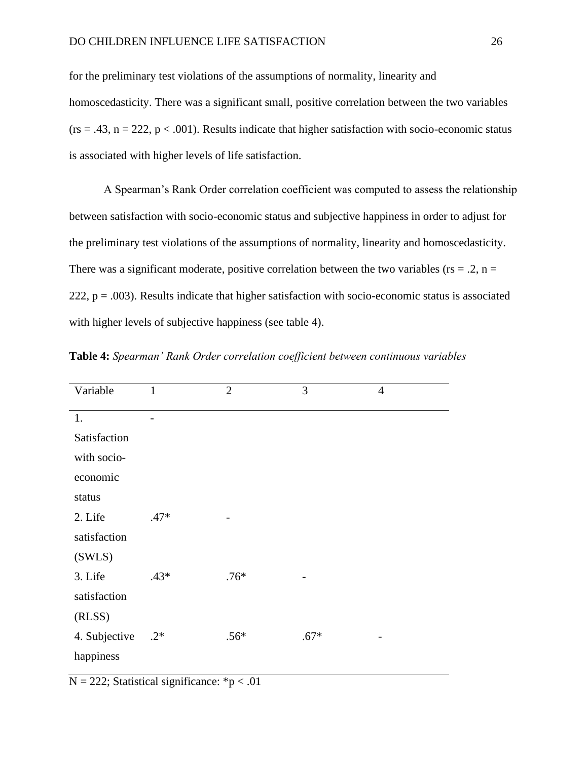for the preliminary test violations of the assumptions of normality, linearity and homoscedasticity. There was a significant small, positive correlation between the two variables  $(rs = .43, n = 222, p < .001)$ . Results indicate that higher satisfaction with socio-economic status is associated with higher levels of life satisfaction.

A Spearman's Rank Order correlation coefficient was computed to assess the relationship between satisfaction with socio-economic status and subjective happiness in order to adjust for the preliminary test violations of the assumptions of normality, linearity and homoscedasticity. There was a significant moderate, positive correlation between the two variables ( $rs = 0.2$ ,  $n =$ 222,  $p = .003$ ). Results indicate that higher satisfaction with socio-economic status is associated with higher levels of subjective happiness (see table 4).

| Variable      | $\mathbf{1}$ | $\overline{2}$ | 3      | $\overline{4}$ |
|---------------|--------------|----------------|--------|----------------|
| 1.            |              |                |        |                |
| Satisfaction  |              |                |        |                |
| with socio-   |              |                |        |                |
| economic      |              |                |        |                |
| status        |              |                |        |                |
| 2. Life       | $.47*$       |                |        |                |
| satisfaction  |              |                |        |                |
| (SWLS)        |              |                |        |                |
| 3. Life       | .43*         | $.76*$         |        |                |
| satisfaction  |              |                |        |                |
| (RLSS)        |              |                |        |                |
| 4. Subjective | $.2*$        | $.56*$         | $.67*$ |                |
| happiness     |              |                |        |                |

**Table 4:** *Spearman' Rank Order correlation coefficient between continuous variables*

 $N = 222$ ; Statistical significance: \*p < .01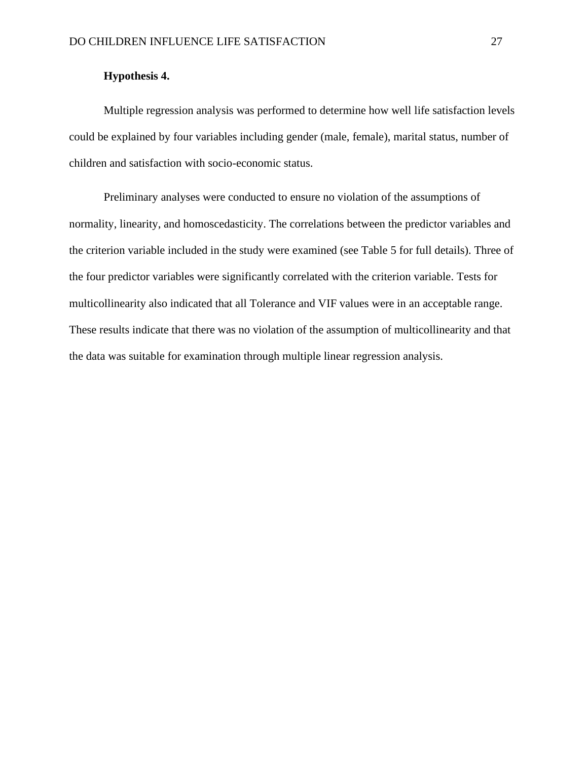#### **Hypothesis 4.**

Multiple regression analysis was performed to determine how well life satisfaction levels could be explained by four variables including gender (male, female), marital status, number of children and satisfaction with socio-economic status.

Preliminary analyses were conducted to ensure no violation of the assumptions of normality, linearity, and homoscedasticity. The correlations between the predictor variables and the criterion variable included in the study were examined (see Table 5 for full details). Three of the four predictor variables were significantly correlated with the criterion variable. Tests for multicollinearity also indicated that all Tolerance and VIF values were in an acceptable range. These results indicate that there was no violation of the assumption of multicollinearity and that the data was suitable for examination through multiple linear regression analysis.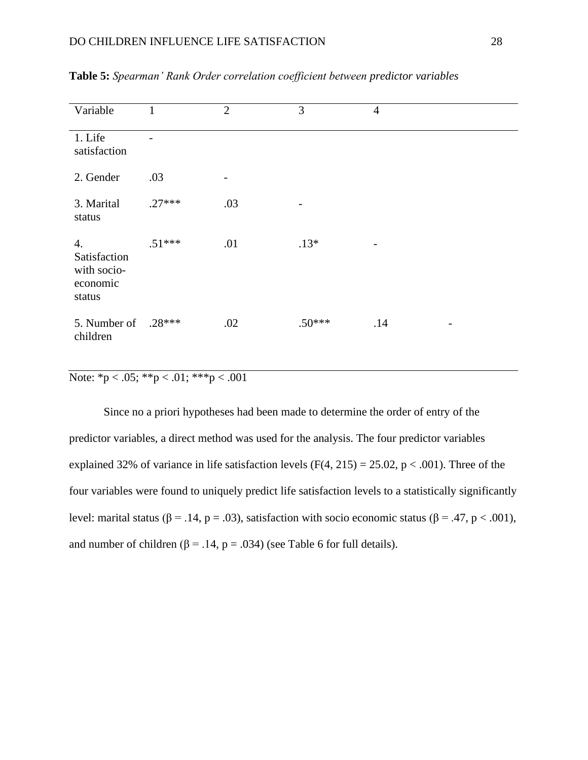| Variable                                                | $\mathbf{1}$ | $\overline{2}$ | 3        | $\overline{4}$ |  |
|---------------------------------------------------------|--------------|----------------|----------|----------------|--|
| 1. Life<br>satisfaction                                 |              |                |          |                |  |
| 2. Gender                                               | .03          | -              |          |                |  |
| 3. Marital<br>status                                    | $.27***$     | .03            | -        |                |  |
| 4.<br>Satisfaction<br>with socio-<br>economic<br>status | $.51***$     | .01            | $.13*$   |                |  |
| 5. Number of<br>children                                | $.28***$     | .02            | $.50***$ | .14            |  |

**Table 5:** *Spearman' Rank Order correlation coefficient between predictor variables*

Note:  ${}^*p < .05$ ;  ${}^*{}^p < .01$ ;  ${}^*{}^*p < .001$ 

Since no a priori hypotheses had been made to determine the order of entry of the predictor variables, a direct method was used for the analysis. The four predictor variables explained 32% of variance in life satisfaction levels  $(F(4, 215) = 25.02, p < .001)$ . Three of the four variables were found to uniquely predict life satisfaction levels to a statistically significantly level: marital status (β = .14, p = .03), satisfaction with socio economic status (β = .47, p < .001), and number of children ( $\beta$  = .14, p = .034) (see Table 6 for full details).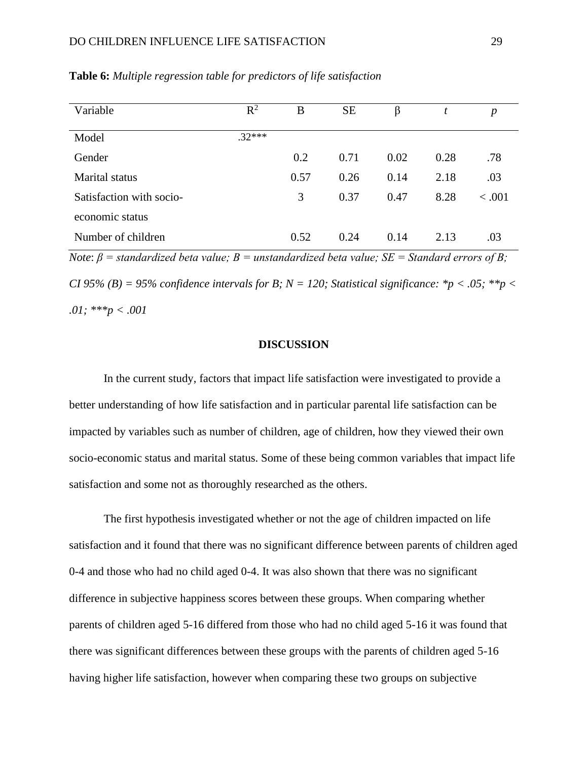#### DO CHILDREN INFLUENCE LIFE SATISFACTION 29

| Variable                                                                                             | $\rm R^2$ | B    | <b>SE</b> | β    | t    | $\boldsymbol{p}$ |
|------------------------------------------------------------------------------------------------------|-----------|------|-----------|------|------|------------------|
| Model                                                                                                | $.32***$  |      |           |      |      |                  |
| Gender                                                                                               |           | 0.2  | 0.71      | 0.02 | 0.28 | .78              |
| Marital status                                                                                       |           | 0.57 | 0.26      | 0.14 | 2.18 | .03              |
| Satisfaction with socio-                                                                             |           | 3    | 0.37      | 0.47 | 8.28 | < 0.001          |
| economic status                                                                                      |           |      |           |      |      |                  |
| Number of children                                                                                   |           | 0.52 | 0.24      | 0.14 | 2.13 | .03              |
| Note: $R =$ standardized beta value: $R =$ unstandardized beta value: $SE =$ Standard emons of $R$ . |           |      |           |      |      |                  |

**Table 6:** *Multiple regression table for predictors of life satisfaction*

*Note*: *β = standardized beta value; B = unstandardized beta value; SE = Standard errors of B; CI 95% (B) = 95% confidence intervals for B; N = 120; Statistical significance: \*p < .05; \*\*p < .01; \*\*\*p < .001*

#### **DISCUSSION**

In the current study, factors that impact life satisfaction were investigated to provide a better understanding of how life satisfaction and in particular parental life satisfaction can be impacted by variables such as number of children, age of children, how they viewed their own socio-economic status and marital status. Some of these being common variables that impact life satisfaction and some not as thoroughly researched as the others.

The first hypothesis investigated whether or not the age of children impacted on life satisfaction and it found that there was no significant difference between parents of children aged 0-4 and those who had no child aged 0-4. It was also shown that there was no significant difference in subjective happiness scores between these groups. When comparing whether parents of children aged 5-16 differed from those who had no child aged 5-16 it was found that there was significant differences between these groups with the parents of children aged 5-16 having higher life satisfaction, however when comparing these two groups on subjective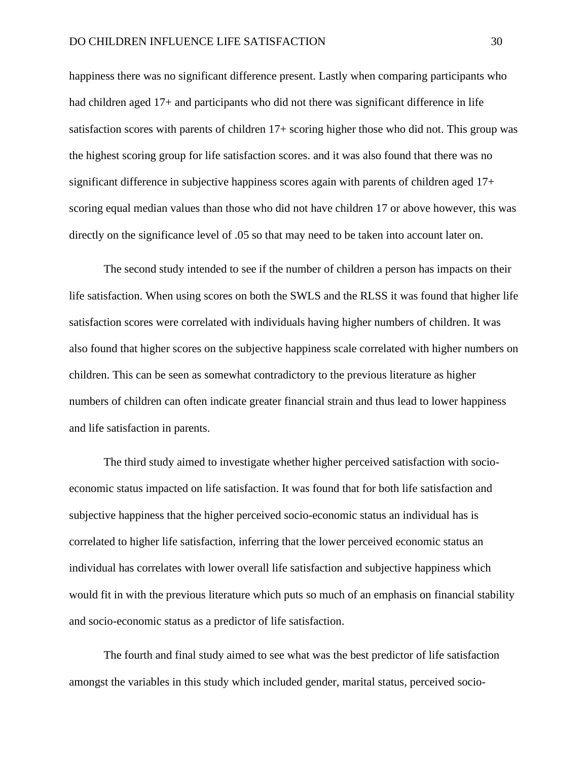happiness there was no significant difference present. Lastly when comparing participants who had children aged 17+ and participants who did not there was significant difference in life satisfaction scores with parents of children 17+ scoring higher those who did not. This group was the highest scoring group for life satisfaction scores. and it was also found that there was no significant difference in subjective happiness scores again with parents of children aged 17+ scoring equal median values than those who did not have children 17 or above however, this was directly on the significance level of .05 so that may need to be taken into account later on.

The second study intended to see if the number of children a person has impacts on their life satisfaction. When using scores on both the SWLS and the RLSS it was found that higher life satisfaction scores were correlated with individuals having higher numbers of children. It was also found that higher scores on the subjective happiness scale correlated with higher numbers on children. This can be seen as somewhat contradictory to the previous literature as higher numbers of children can often indicate greater financial strain and thus lead to lower happiness and life satisfaction in parents.

The third study aimed to investigate whether higher perceived satisfaction with socioeconomic status impacted on life satisfaction. It was found that for both life satisfaction and subjective happiness that the higher perceived socio-economic status an individual has is correlated to higher life satisfaction, inferring that the lower perceived economic status an individual has correlates with lower overall life satisfaction and subjective happiness which would fit in with the previous literature which puts so much of an emphasis on financial stability and socio-economic status as a predictor of life satisfaction.

The fourth and final study aimed to see what was the best predictor of life satisfaction amongst the variables in this study which included gender, marital status, perceived socio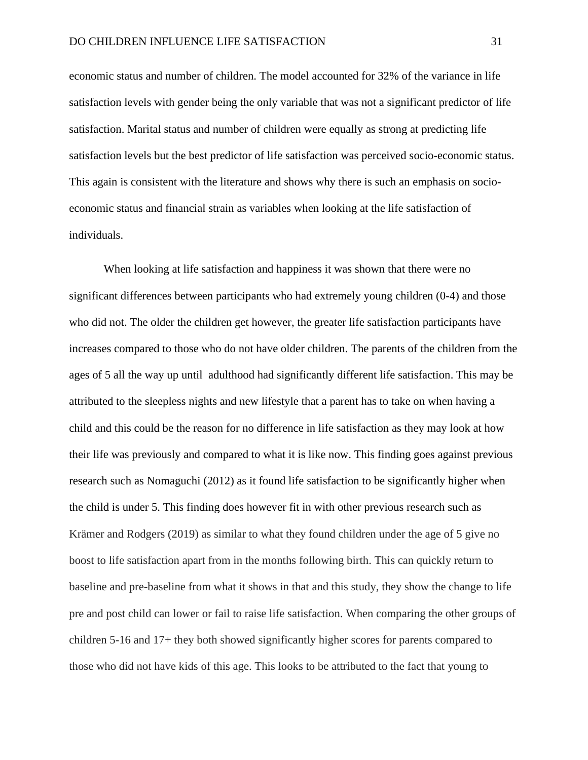economic status and number of children. The model accounted for 32% of the variance in life satisfaction levels with gender being the only variable that was not a significant predictor of life satisfaction. Marital status and number of children were equally as strong at predicting life satisfaction levels but the best predictor of life satisfaction was perceived socio-economic status. This again is consistent with the literature and shows why there is such an emphasis on socioeconomic status and financial strain as variables when looking at the life satisfaction of individuals.

When looking at life satisfaction and happiness it was shown that there were no significant differences between participants who had extremely young children (0-4) and those who did not. The older the children get however, the greater life satisfaction participants have increases compared to those who do not have older children. The parents of the children from the ages of 5 all the way up until adulthood had significantly different life satisfaction. This may be attributed to the sleepless nights and new lifestyle that a parent has to take on when having a child and this could be the reason for no difference in life satisfaction as they may look at how their life was previously and compared to what it is like now. This finding goes against previous research such as Nomaguchi (2012) as it found life satisfaction to be significantly higher when the child is under 5. This finding does however fit in with other previous research such as Krämer and Rodgers (2019) as similar to what they found children under the age of 5 give no boost to life satisfaction apart from in the months following birth. This can quickly return to baseline and pre-baseline from what it shows in that and this study, they show the change to life pre and post child can lower or fail to raise life satisfaction. When comparing the other groups of children 5-16 and 17+ they both showed significantly higher scores for parents compared to those who did not have kids of this age. This looks to be attributed to the fact that young to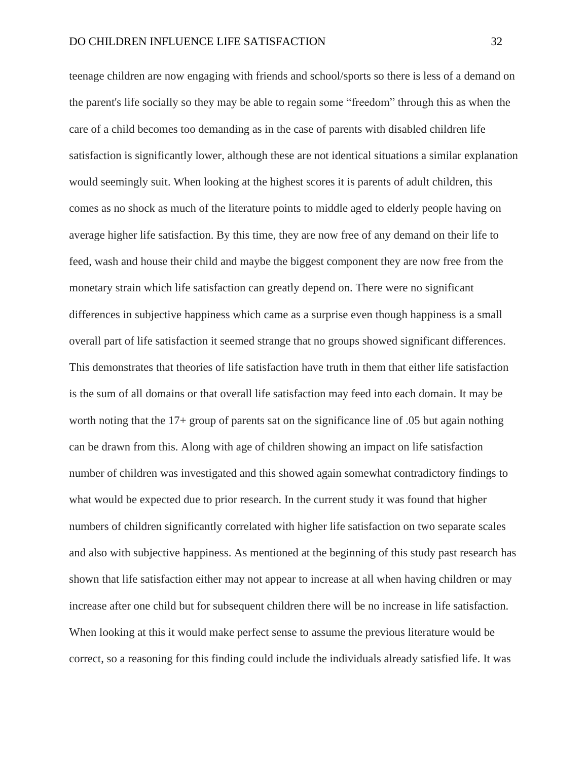teenage children are now engaging with friends and school/sports so there is less of a demand on the parent's life socially so they may be able to regain some "freedom" through this as when the care of a child becomes too demanding as in the case of parents with disabled children life satisfaction is significantly lower, although these are not identical situations a similar explanation would seemingly suit. When looking at the highest scores it is parents of adult children, this comes as no shock as much of the literature points to middle aged to elderly people having on average higher life satisfaction. By this time, they are now free of any demand on their life to feed, wash and house their child and maybe the biggest component they are now free from the monetary strain which life satisfaction can greatly depend on. There were no significant differences in subjective happiness which came as a surprise even though happiness is a small overall part of life satisfaction it seemed strange that no groups showed significant differences. This demonstrates that theories of life satisfaction have truth in them that either life satisfaction is the sum of all domains or that overall life satisfaction may feed into each domain. It may be worth noting that the 17+ group of parents sat on the significance line of .05 but again nothing can be drawn from this. Along with age of children showing an impact on life satisfaction number of children was investigated and this showed again somewhat contradictory findings to what would be expected due to prior research. In the current study it was found that higher numbers of children significantly correlated with higher life satisfaction on two separate scales and also with subjective happiness. As mentioned at the beginning of this study past research has shown that life satisfaction either may not appear to increase at all when having children or may increase after one child but for subsequent children there will be no increase in life satisfaction. When looking at this it would make perfect sense to assume the previous literature would be correct, so a reasoning for this finding could include the individuals already satisfied life. It was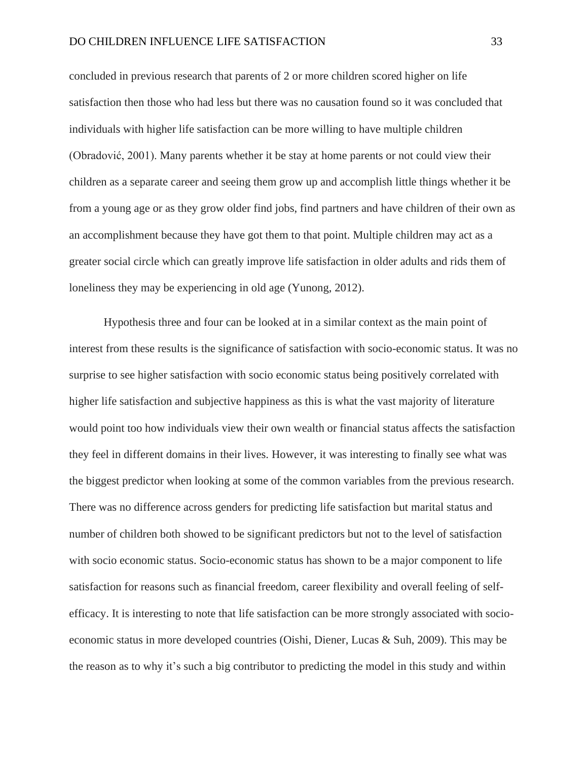concluded in previous research that parents of 2 or more children scored higher on life satisfaction then those who had less but there was no causation found so it was concluded that individuals with higher life satisfaction can be more willing to have multiple children (Obradović, 2001). Many parents whether it be stay at home parents or not could view their children as a separate career and seeing them grow up and accomplish little things whether it be from a young age or as they grow older find jobs, find partners and have children of their own as an accomplishment because they have got them to that point. Multiple children may act as a greater social circle which can greatly improve life satisfaction in older adults and rids them of loneliness they may be experiencing in old age (Yunong, 2012).

Hypothesis three and four can be looked at in a similar context as the main point of interest from these results is the significance of satisfaction with socio-economic status. It was no surprise to see higher satisfaction with socio economic status being positively correlated with higher life satisfaction and subjective happiness as this is what the vast majority of literature would point too how individuals view their own wealth or financial status affects the satisfaction they feel in different domains in their lives. However, it was interesting to finally see what was the biggest predictor when looking at some of the common variables from the previous research. There was no difference across genders for predicting life satisfaction but marital status and number of children both showed to be significant predictors but not to the level of satisfaction with socio economic status. Socio-economic status has shown to be a major component to life satisfaction for reasons such as financial freedom, career flexibility and overall feeling of selfefficacy. It is interesting to note that life satisfaction can be more strongly associated with socioeconomic status in more developed countries (Oishi, Diener, Lucas & Suh, 2009). This may be the reason as to why it's such a big contributor to predicting the model in this study and within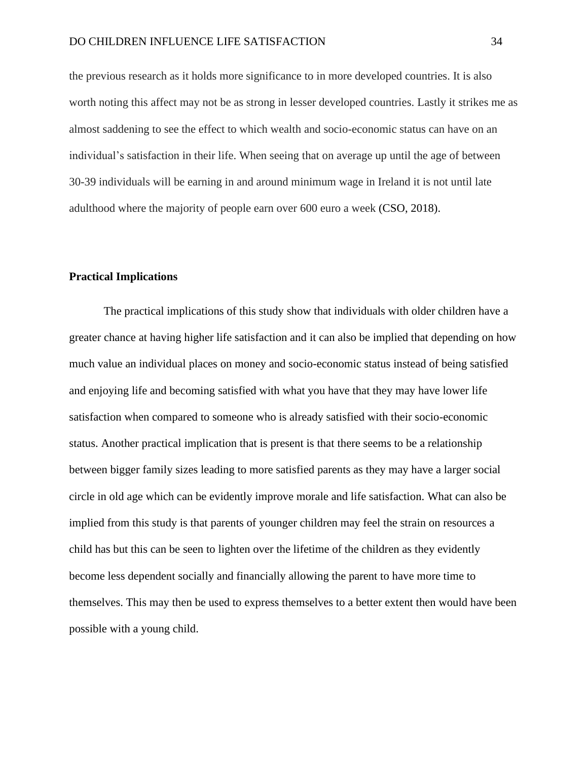the previous research as it holds more significance to in more developed countries. It is also worth noting this affect may not be as strong in lesser developed countries. Lastly it strikes me as almost saddening to see the effect to which wealth and socio-economic status can have on an individual's satisfaction in their life. When seeing that on average up until the age of between 30-39 individuals will be earning in and around minimum wage in Ireland it is not until late adulthood where the majority of people earn over 600 euro a week (CSO, 2018).

#### **Practical Implications**

The practical implications of this study show that individuals with older children have a greater chance at having higher life satisfaction and it can also be implied that depending on how much value an individual places on money and socio-economic status instead of being satisfied and enjoying life and becoming satisfied with what you have that they may have lower life satisfaction when compared to someone who is already satisfied with their socio-economic status. Another practical implication that is present is that there seems to be a relationship between bigger family sizes leading to more satisfied parents as they may have a larger social circle in old age which can be evidently improve morale and life satisfaction. What can also be implied from this study is that parents of younger children may feel the strain on resources a child has but this can be seen to lighten over the lifetime of the children as they evidently become less dependent socially and financially allowing the parent to have more time to themselves. This may then be used to express themselves to a better extent then would have been possible with a young child.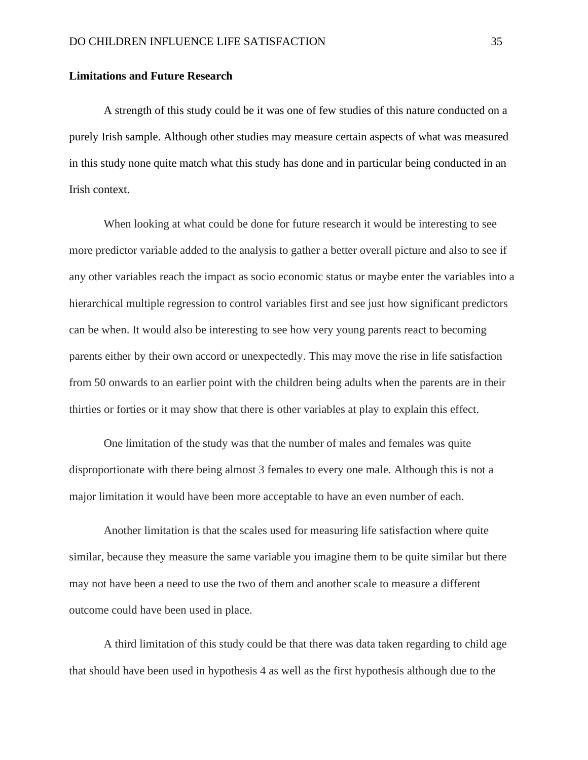#### **Limitations and Future Research**

A strength of this study could be it was one of few studies of this nature conducted on a purely Irish sample. Although other studies may measure certain aspects of what was measured in this study none quite match what this study has done and in particular being conducted in an Irish context.

When looking at what could be done for future research it would be interesting to see more predictor variable added to the analysis to gather a better overall picture and also to see if any other variables reach the impact as socio economic status or maybe enter the variables into a hierarchical multiple regression to control variables first and see just how significant predictors can be when. It would also be interesting to see how very young parents react to becoming parents either by their own accord or unexpectedly. This may move the rise in life satisfaction from 50 onwards to an earlier point with the children being adults when the parents are in their thirties or forties or it may show that there is other variables at play to explain this effect.

One limitation of the study was that the number of males and females was quite disproportionate with there being almost 3 females to every one male. Although this is not a major limitation it would have been more acceptable to have an even number of each.

Another limitation is that the scales used for measuring life satisfaction where quite similar, because they measure the same variable you imagine them to be quite similar but there may not have been a need to use the two of them and another scale to measure a different outcome could have been used in place.

A third limitation of this study could be that there was data taken regarding to child age that should have been used in hypothesis 4 as well as the first hypothesis although due to the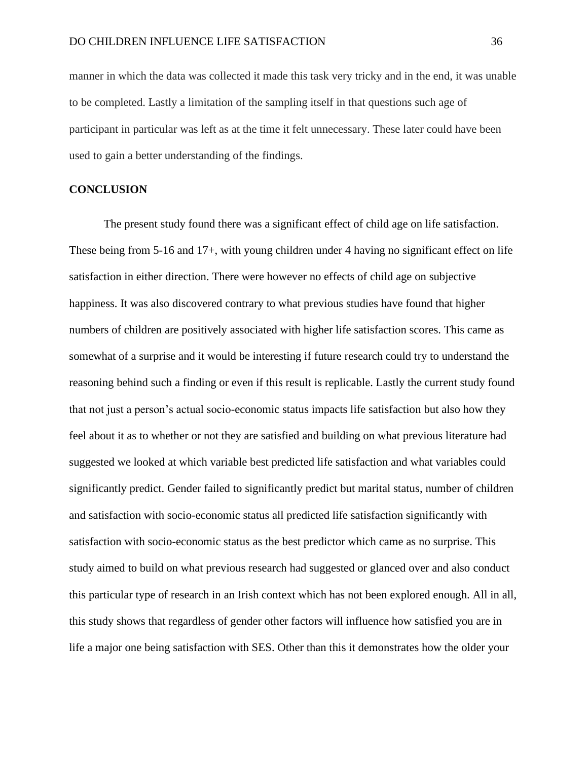manner in which the data was collected it made this task very tricky and in the end, it was unable to be completed. Lastly a limitation of the sampling itself in that questions such age of participant in particular was left as at the time it felt unnecessary. These later could have been used to gain a better understanding of the findings.

#### **CONCLUSION**

The present study found there was a significant effect of child age on life satisfaction. These being from 5-16 and 17+, with young children under 4 having no significant effect on life satisfaction in either direction. There were however no effects of child age on subjective happiness. It was also discovered contrary to what previous studies have found that higher numbers of children are positively associated with higher life satisfaction scores. This came as somewhat of a surprise and it would be interesting if future research could try to understand the reasoning behind such a finding or even if this result is replicable. Lastly the current study found that not just a person's actual socio-economic status impacts life satisfaction but also how they feel about it as to whether or not they are satisfied and building on what previous literature had suggested we looked at which variable best predicted life satisfaction and what variables could significantly predict. Gender failed to significantly predict but marital status, number of children and satisfaction with socio-economic status all predicted life satisfaction significantly with satisfaction with socio-economic status as the best predictor which came as no surprise. This study aimed to build on what previous research had suggested or glanced over and also conduct this particular type of research in an Irish context which has not been explored enough. All in all, this study shows that regardless of gender other factors will influence how satisfied you are in life a major one being satisfaction with SES. Other than this it demonstrates how the older your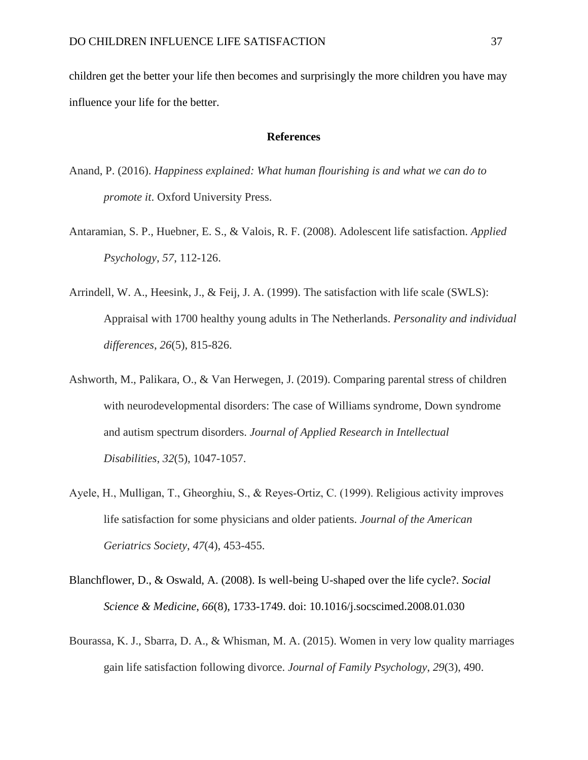children get the better your life then becomes and surprisingly the more children you have may influence your life for the better.

#### **References**

- Anand, P. (2016). *Happiness explained: What human flourishing is and what we can do to promote it*. Oxford University Press.
- Antaramian, S. P., Huebner, E. S., & Valois, R. F. (2008). Adolescent life satisfaction. *Applied Psychology*, *57*, 112-126.
- Arrindell, W. A., Heesink, J., & Feij, J. A. (1999). The satisfaction with life scale (SWLS): Appraisal with 1700 healthy young adults in The Netherlands. *Personality and individual differences*, *26*(5), 815-826.
- Ashworth, M., Palikara, O., & Van Herwegen, J. (2019). Comparing parental stress of children with neurodevelopmental disorders: The case of Williams syndrome, Down syndrome and autism spectrum disorders. *Journal of Applied Research in Intellectual Disabilities*, *32*(5), 1047-1057.
- Ayele, H., Mulligan, T., Gheorghiu, S., & Reyes‐Ortiz, C. (1999). Religious activity improves life satisfaction for some physicians and older patients. *Journal of the American Geriatrics Society*, *47*(4), 453-455.
- Blanchflower, D., & Oswald, A. (2008). Is well-being U-shaped over the life cycle?. *Social Science & Medicine*, *66*(8), 1733-1749. doi: 10.1016/j.socscimed.2008.01.030
- Bourassa, K. J., Sbarra, D. A., & Whisman, M. A. (2015). Women in very low quality marriages gain life satisfaction following divorce. *Journal of Family Psychology*, *29*(3), 490.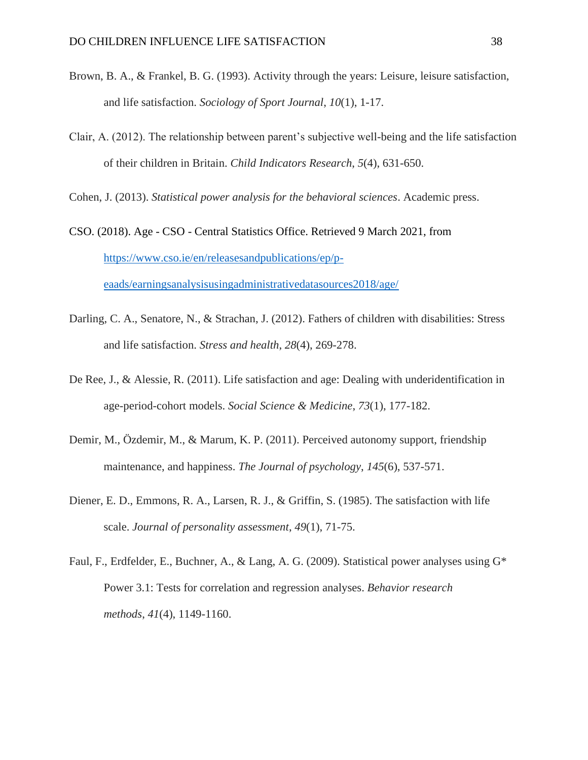- Brown, B. A., & Frankel, B. G. (1993). Activity through the years: Leisure, leisure satisfaction, and life satisfaction. *Sociology of Sport Journal*, *10*(1), 1-17.
- Clair, A. (2012). The relationship between parent's subjective well-being and the life satisfaction of their children in Britain. *Child Indicators Research*, *5*(4), 631-650.

Cohen, J. (2013). *Statistical power analysis for the behavioral sciences*. Academic press.

- CSO. (2018). Age CSO Central Statistics Office. Retrieved 9 March 2021, from [https://www.cso.ie/en/releasesandpublications/ep/p](https://www.cso.ie/en/releasesandpublications/ep/p-eaads/earningsanalysisusingadministrativedatasources2018/age/)[eaads/earningsanalysisusingadministrativedatasources2018/age/](https://www.cso.ie/en/releasesandpublications/ep/p-eaads/earningsanalysisusingadministrativedatasources2018/age/)
- Darling, C. A., Senatore, N., & Strachan, J. (2012). Fathers of children with disabilities: Stress and life satisfaction. *Stress and health*, *28*(4), 269-278.
- De Ree, J., & Alessie, R. (2011). Life satisfaction and age: Dealing with underidentification in age-period-cohort models. *Social Science & Medicine*, *73*(1), 177-182.
- Demir, M., Özdemir, M., & Marum, K. P. (2011). Perceived autonomy support, friendship maintenance, and happiness. *The Journal of psychology*, *145*(6), 537-571.
- Diener, E. D., Emmons, R. A., Larsen, R. J., & Griffin, S. (1985). The satisfaction with life scale. *Journal of personality assessment*, *49*(1), 71-75.
- Faul, F., Erdfelder, E., Buchner, A., & Lang, A. G. (2009). Statistical power analyses using G\* Power 3.1: Tests for correlation and regression analyses. *Behavior research methods*, *41*(4), 1149-1160.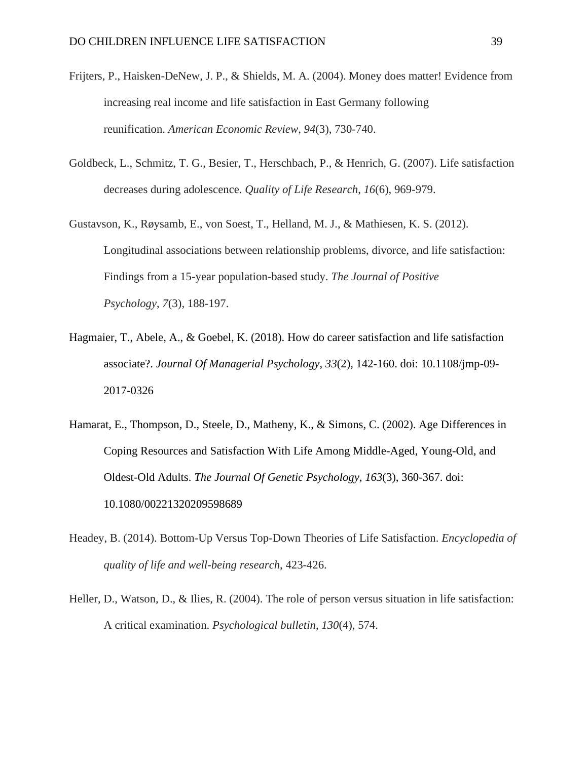- Frijters, P., Haisken-DeNew, J. P., & Shields, M. A. (2004). Money does matter! Evidence from increasing real income and life satisfaction in East Germany following reunification. *American Economic Review*, *94*(3), 730-740.
- Goldbeck, L., Schmitz, T. G., Besier, T., Herschbach, P., & Henrich, G. (2007). Life satisfaction decreases during adolescence. *Quality of Life Research*, *16*(6), 969-979.
- Gustavson, K., Røysamb, E., von Soest, T., Helland, M. J., & Mathiesen, K. S. (2012). Longitudinal associations between relationship problems, divorce, and life satisfaction: Findings from a 15-year population-based study. *The Journal of Positive Psychology*, *7*(3), 188-197.
- Hagmaier, T., Abele, A., & Goebel, K. (2018). How do career satisfaction and life satisfaction associate?. *Journal Of Managerial Psychology*, *33*(2), 142-160. doi: 10.1108/jmp-09- 2017-0326
- Hamarat, E., Thompson, D., Steele, D., Matheny, K., & Simons, C. (2002). Age Differences in Coping Resources and Satisfaction With Life Among Middle-Aged, Young-Old, and Oldest-Old Adults. *The Journal Of Genetic Psychology*, *163*(3), 360-367. doi: 10.1080/00221320209598689
- Headey, B. (2014). Bottom-Up Versus Top-Down Theories of Life Satisfaction. *Encyclopedia of quality of life and well-being research*, 423-426.
- Heller, D., Watson, D., & Ilies, R. (2004). The role of person versus situation in life satisfaction: A critical examination. *Psychological bulletin*, *130*(4), 574.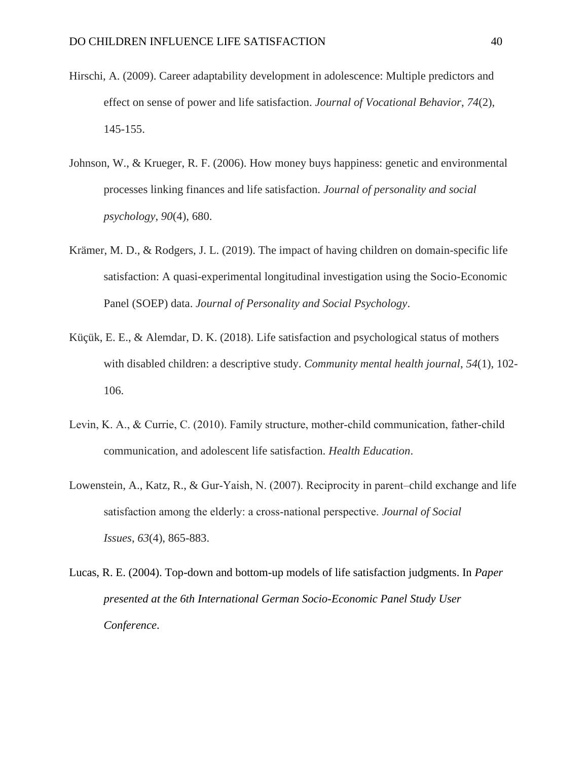- Hirschi, A. (2009). Career adaptability development in adolescence: Multiple predictors and effect on sense of power and life satisfaction. *Journal of Vocational Behavior*, *74*(2), 145-155.
- Johnson, W., & Krueger, R. F. (2006). How money buys happiness: genetic and environmental processes linking finances and life satisfaction. *Journal of personality and social psychology*, *90*(4), 680.
- Krämer, M. D., & Rodgers, J. L. (2019). The impact of having children on domain-specific life satisfaction: A quasi-experimental longitudinal investigation using the Socio-Economic Panel (SOEP) data. *Journal of Personality and Social Psychology*.
- Küçük, E. E., & Alemdar, D. K. (2018). Life satisfaction and psychological status of mothers with disabled children: a descriptive study. *Community mental health journal*, *54*(1), 102- 106.
- Levin, K. A., & Currie, C. (2010). Family structure, mother‐child communication, father‐child communication, and adolescent life satisfaction. *Health Education*.
- Lowenstein, A., Katz, R., & Gur‐Yaish, N. (2007). Reciprocity in parent–child exchange and life satisfaction among the elderly: a cross‐national perspective. *Journal of Social Issues*, *63*(4), 865-883.
- Lucas, R. E. (2004). Top-down and bottom-up models of life satisfaction judgments. In *Paper presented at the 6th International German Socio-Economic Panel Study User Conference*.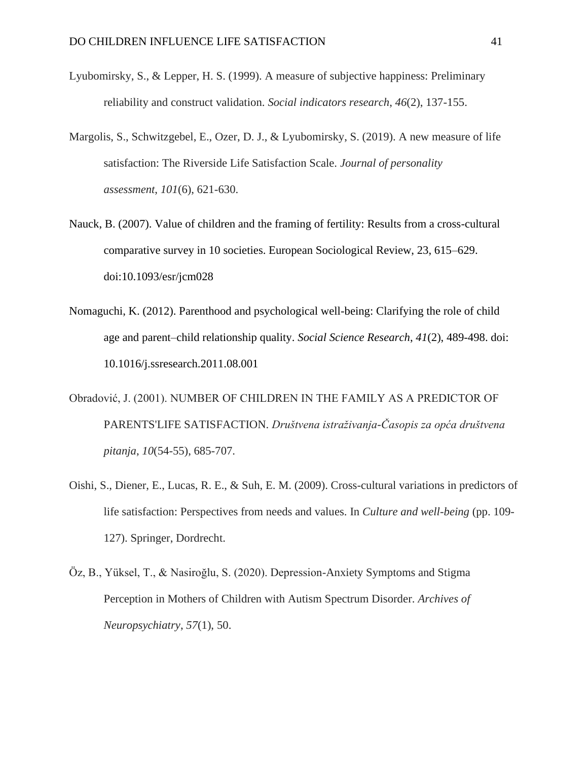- Lyubomirsky, S., & Lepper, H. S. (1999). A measure of subjective happiness: Preliminary reliability and construct validation. *Social indicators research*, *46*(2), 137-155.
- Margolis, S., Schwitzgebel, E., Ozer, D. J., & Lyubomirsky, S. (2019). A new measure of life satisfaction: The Riverside Life Satisfaction Scale. *Journal of personality assessment*, *101*(6), 621-630.
- Nauck, B. (2007). Value of children and the framing of fertility: Results from a cross-cultural comparative survey in 10 societies. European Sociological Review, 23, 615–629. doi:10.1093/esr/jcm028
- Nomaguchi, K. (2012). Parenthood and psychological well-being: Clarifying the role of child age and parent–child relationship quality. *Social Science Research*, *41*(2), 489-498. doi: 10.1016/j.ssresearch.2011.08.001
- Obradović, J. (2001). NUMBER OF CHILDREN IN THE FAMILY AS A PREDICTOR OF PARENTS'LIFE SATISFACTION. *Društvena istraživanja-Časopis za opća društvena pitanja*, *10*(54-55), 685-707.
- Oishi, S., Diener, E., Lucas, R. E., & Suh, E. M. (2009). Cross-cultural variations in predictors of life satisfaction: Perspectives from needs and values. In *Culture and well-being* (pp. 109- 127). Springer, Dordrecht.
- Öz, B., Yüksel, T., & Nasiroğlu, S. (2020). Depression-Anxiety Symptoms and Stigma Perception in Mothers of Children with Autism Spectrum Disorder. *Archives of Neuropsychiatry*, *57*(1), 50.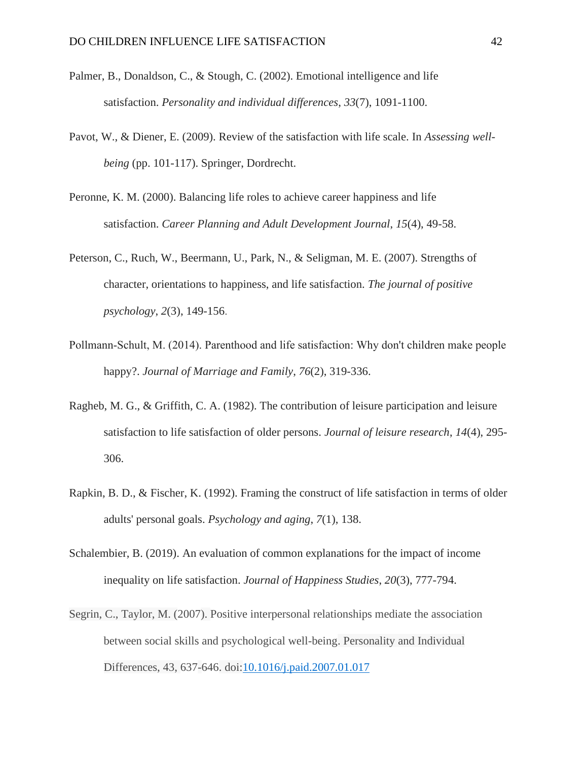- Palmer, B., Donaldson, C., & Stough, C. (2002). Emotional intelligence and life satisfaction. *Personality and individual differences*, *33*(7), 1091-1100.
- Pavot, W., & Diener, E. (2009). Review of the satisfaction with life scale. In *Assessing wellbeing* (pp. 101-117). Springer, Dordrecht.
- Peronne, K. M. (2000). Balancing life roles to achieve career happiness and life satisfaction. *Career Planning and Adult Development Journal*, *15*(4), 49-58.
- Peterson, C., Ruch, W., Beermann, U., Park, N., & Seligman, M. E. (2007). Strengths of character, orientations to happiness, and life satisfaction. *The journal of positive psychology*, *2*(3), 149-156.
- Pollmann‐Schult, M. (2014). Parenthood and life satisfaction: Why don't children make people happy?. *Journal of Marriage and Family*, *76*(2), 319-336.
- Ragheb, M. G., & Griffith, C. A. (1982). The contribution of leisure participation and leisure satisfaction to life satisfaction of older persons. *Journal of leisure research*, *14*(4), 295- 306.
- Rapkin, B. D., & Fischer, K. (1992). Framing the construct of life satisfaction in terms of older adults' personal goals. *Psychology and aging*, *7*(1), 138.
- Schalembier, B. (2019). An evaluation of common explanations for the impact of income inequality on life satisfaction. *Journal of Happiness Studies*, *20*(3), 777-794.
- Segrin, C., Taylor, M. (2007). Positive interpersonal relationships mediate the association between social skills and psychological well-being. Personality and Individual Differences, 43, 637-646. doi[:10.1016/j.paid.2007.01.017](https://doi.org/10.1016/j.paid.2007.01.017)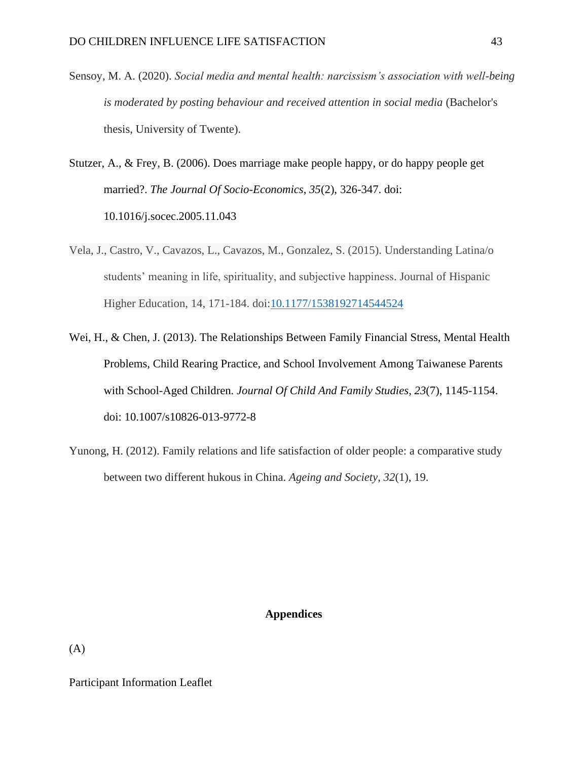- Sensoy, M. A. (2020). *Social media and mental health: narcissism's association with well-being is moderated by posting behaviour and received attention in social media* (Bachelor's thesis, University of Twente).
- Stutzer, A., & Frey, B. (2006). Does marriage make people happy, or do happy people get married?. *The Journal Of Socio-Economics*, *35*(2), 326-347. doi: 10.1016/j.socec.2005.11.043
- Vela, J., Castro, V., Cavazos, L., Cavazos, M., Gonzalez, S. (2015). Understanding Latina/o students' meaning in life, spirituality, and subjective happiness. Journal of Hispanic Higher Education, 14, 171-184. doi[:10.1177/1538192714544524](https://doi.org/10.1177/1538192714544524)
- Wei, H., & Chen, J. (2013). The Relationships Between Family Financial Stress, Mental Health Problems, Child Rearing Practice, and School Involvement Among Taiwanese Parents with School-Aged Children. *Journal Of Child And Family Studies*, *23*(7), 1145-1154. doi: 10.1007/s10826-013-9772-8
- Yunong, H. (2012). Family relations and life satisfaction of older people: a comparative study between two different hukous in China. *Ageing and Society*, *32*(1), 19.

## **Appendices**

(A)

Participant Information Leaflet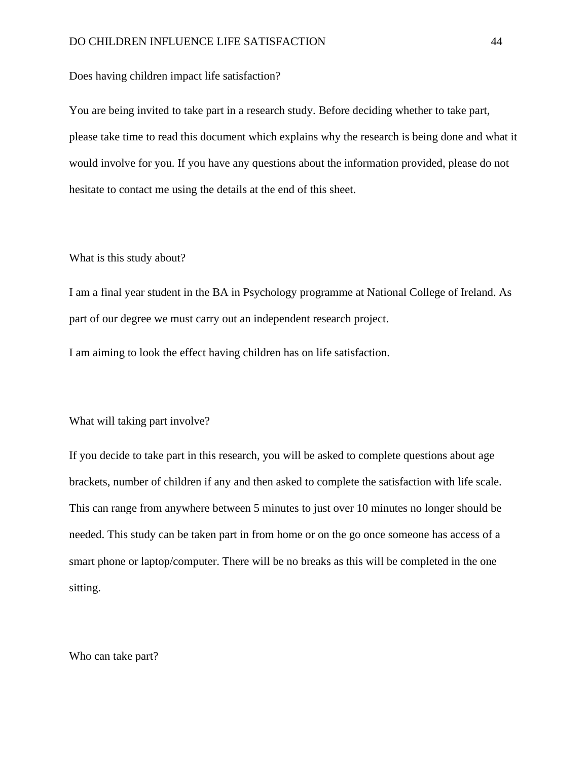Does having children impact life satisfaction?

You are being invited to take part in a research study. Before deciding whether to take part, please take time to read this document which explains why the research is being done and what it would involve for you. If you have any questions about the information provided, please do not hesitate to contact me using the details at the end of this sheet.

#### What is this study about?

I am a final year student in the BA in Psychology programme at National College of Ireland. As part of our degree we must carry out an independent research project.

I am aiming to look the effect having children has on life satisfaction.

#### What will taking part involve?

If you decide to take part in this research, you will be asked to complete questions about age brackets, number of children if any and then asked to complete the satisfaction with life scale. This can range from anywhere between 5 minutes to just over 10 minutes no longer should be needed. This study can be taken part in from home or on the go once someone has access of a smart phone or laptop/computer. There will be no breaks as this will be completed in the one sitting.

Who can take part?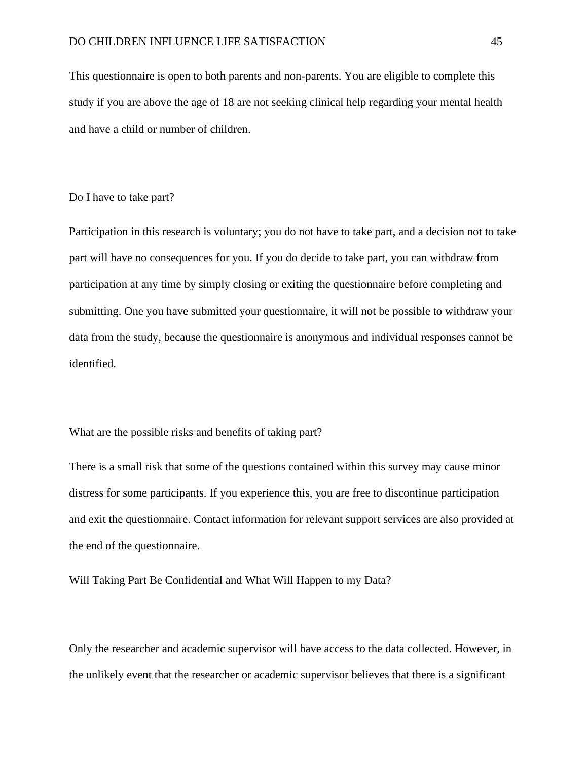This questionnaire is open to both parents and non-parents. You are eligible to complete this study if you are above the age of 18 are not seeking clinical help regarding your mental health and have a child or number of children.

#### Do I have to take part?

Participation in this research is voluntary; you do not have to take part, and a decision not to take part will have no consequences for you. If you do decide to take part, you can withdraw from participation at any time by simply closing or exiting the questionnaire before completing and submitting. One you have submitted your questionnaire, it will not be possible to withdraw your data from the study, because the questionnaire is anonymous and individual responses cannot be identified.

#### What are the possible risks and benefits of taking part?

There is a small risk that some of the questions contained within this survey may cause minor distress for some participants. If you experience this, you are free to discontinue participation and exit the questionnaire. Contact information for relevant support services are also provided at the end of the questionnaire.

Will Taking Part Be Confidential and What Will Happen to my Data?

Only the researcher and academic supervisor will have access to the data collected. However, in the unlikely event that the researcher or academic supervisor believes that there is a significant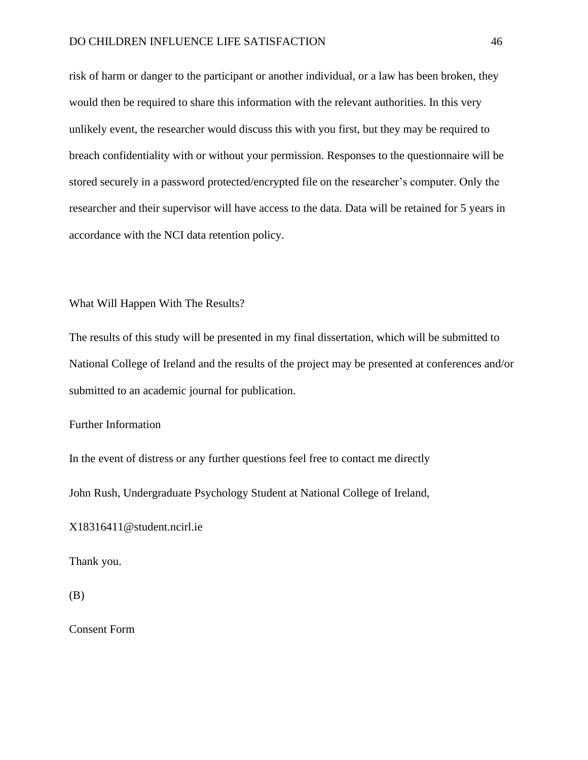#### DO CHILDREN INFLUENCE LIFE SATISFACTION 46

risk of harm or danger to the participant or another individual, or a law has been broken, they would then be required to share this information with the relevant authorities. In this very unlikely event, the researcher would discuss this with you first, but they may be required to breach confidentiality with or without your permission. Responses to the questionnaire will be stored securely in a password protected/encrypted file on the researcher's computer. Only the researcher and their supervisor will have access to the data. Data will be retained for 5 years in accordance with the NCI data retention policy.

#### What Will Happen With The Results?

The results of this study will be presented in my final dissertation, which will be submitted to National College of Ireland and the results of the project may be presented at conferences and/or submitted to an academic journal for publication.

#### Further Information

In the event of distress or any further questions feel free to contact me directly

John Rush, Undergraduate Psychology Student at National College of Ireland,

X18316411@student.ncirl.ie

Thank you.

(B)

Consent Form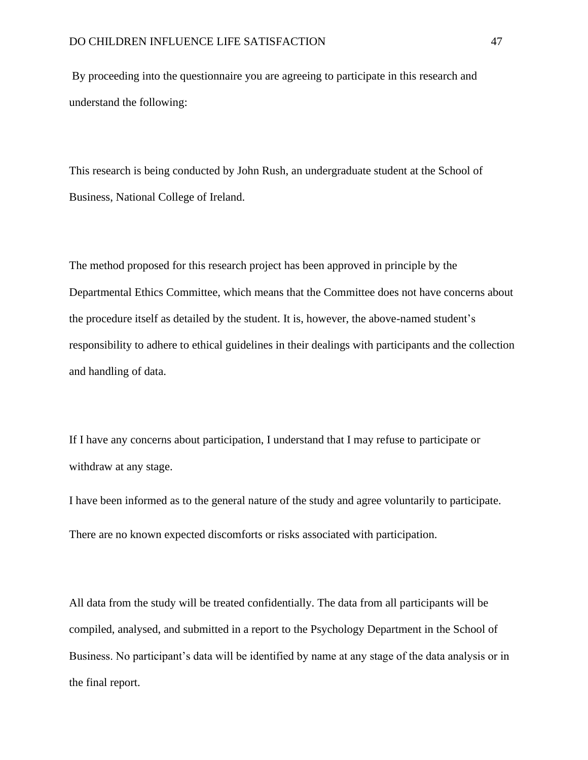By proceeding into the questionnaire you are agreeing to participate in this research and understand the following:

This research is being conducted by John Rush, an undergraduate student at the School of Business, National College of Ireland.

The method proposed for this research project has been approved in principle by the Departmental Ethics Committee, which means that the Committee does not have concerns about the procedure itself as detailed by the student. It is, however, the above-named student's responsibility to adhere to ethical guidelines in their dealings with participants and the collection and handling of data.

If I have any concerns about participation, I understand that I may refuse to participate or withdraw at any stage.

I have been informed as to the general nature of the study and agree voluntarily to participate. There are no known expected discomforts or risks associated with participation.

All data from the study will be treated confidentially. The data from all participants will be compiled, analysed, and submitted in a report to the Psychology Department in the School of Business. No participant's data will be identified by name at any stage of the data analysis or in the final report.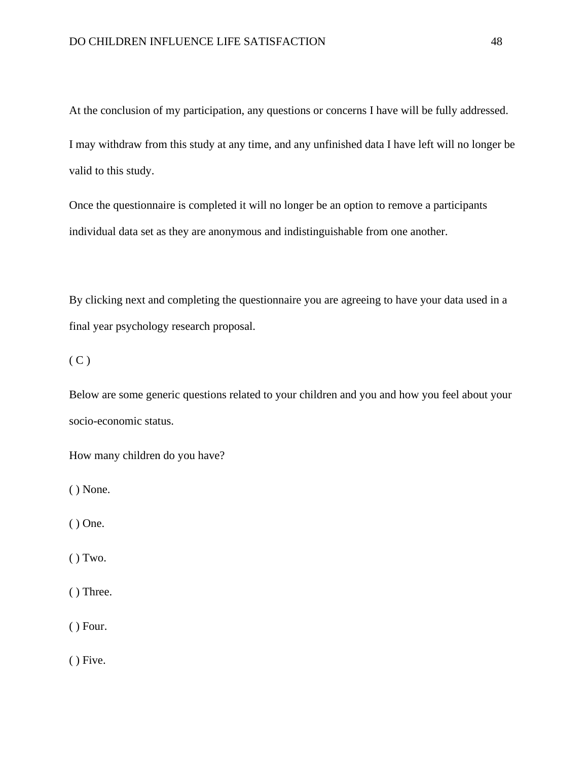At the conclusion of my participation, any questions or concerns I have will be fully addressed.

I may withdraw from this study at any time, and any unfinished data I have left will no longer be valid to this study.

Once the questionnaire is completed it will no longer be an option to remove a participants individual data set as they are anonymous and indistinguishable from one another.

By clicking next and completing the questionnaire you are agreeing to have your data used in a final year psychology research proposal.

 $(C)$ 

Below are some generic questions related to your children and you and how you feel about your socio-economic status.

How many children do you have?

( ) None.

( ) One.

 $()$  Two.

( ) Three.

( ) Four.

( ) Five.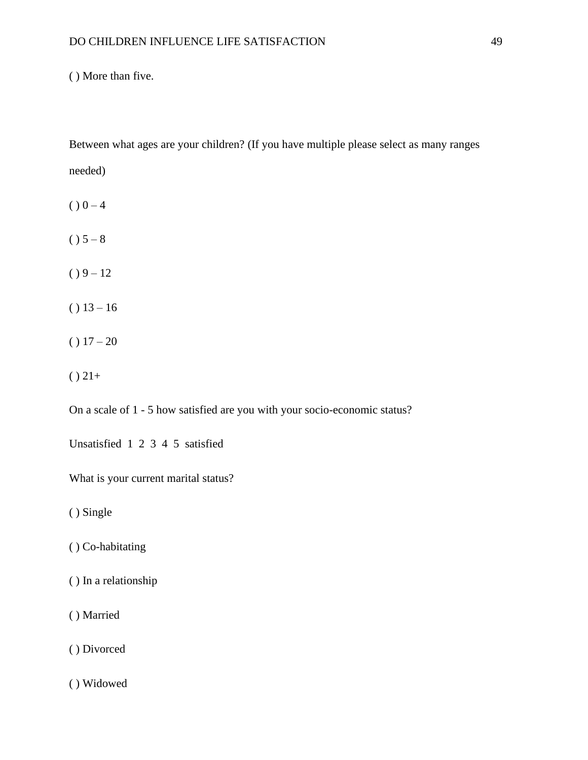( ) More than five.

Between what ages are your children? (If you have multiple please select as many ranges needed)

- $() 0 4$
- $() 5 8$
- $() 9 12$
- $() 13 16$
- $() 17 20$
- $() 21+$

On a scale of 1 - 5 how satisfied are you with your socio-economic status?

Unsatisfied 1 2 3 4 5 satisfied

What is your current marital status?

( ) Single

- ( ) Co-habitating
- ( ) In a relationship
- ( ) Married
- ( ) Divorced
- ( ) Widowed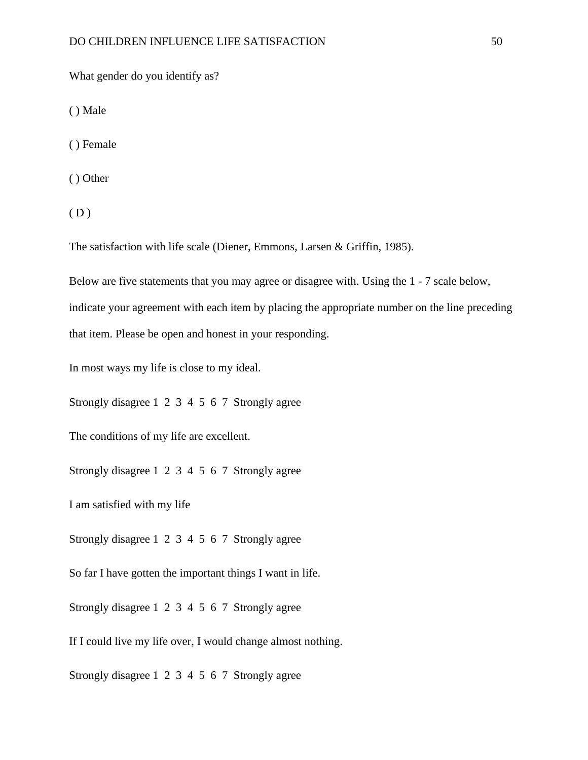What gender do you identify as?

( ) Male

( ) Female

( ) Other

 $(D)$ 

The satisfaction with life scale (Diener, Emmons, Larsen & Griffin, 1985).

Below are five statements that you may agree or disagree with. Using the 1 - 7 scale below,

indicate your agreement with each item by placing the appropriate number on the line preceding that item. Please be open and honest in your responding.

In most ways my life is close to my ideal.

Strongly disagree 1 2 3 4 5 6 7 Strongly agree

The conditions of my life are excellent.

Strongly disagree 1 2 3 4 5 6 7 Strongly agree

I am satisfied with my life

Strongly disagree 1 2 3 4 5 6 7 Strongly agree

So far I have gotten the important things I want in life.

Strongly disagree 1 2 3 4 5 6 7 Strongly agree

If I could live my life over, I would change almost nothing.

Strongly disagree 1 2 3 4 5 6 7 Strongly agree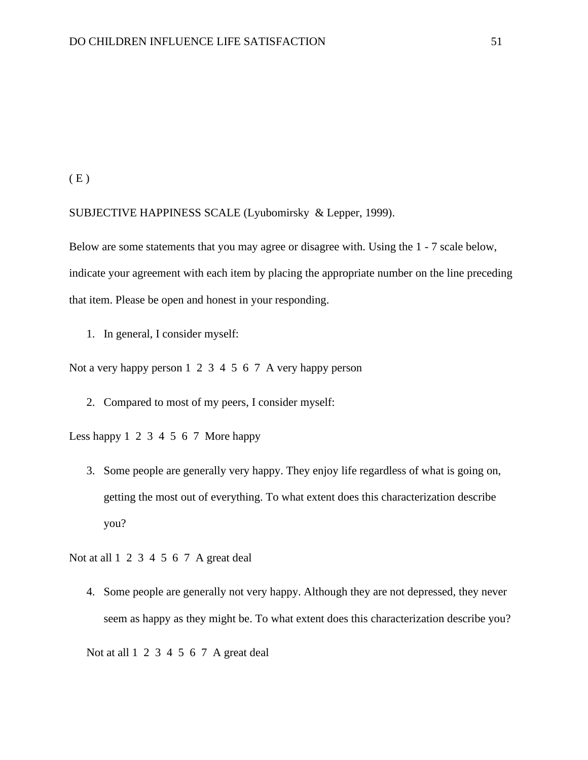$(E)$ 

#### SUBJECTIVE HAPPINESS SCALE (Lyubomirsky & Lepper, 1999).

Below are some statements that you may agree or disagree with. Using the 1 - 7 scale below, indicate your agreement with each item by placing the appropriate number on the line preceding that item. Please be open and honest in your responding.

1. In general, I consider myself:

Not a very happy person 1 2 3 4 5 6 7 A very happy person

2. Compared to most of my peers, I consider myself:

Less happy 1 2 3 4 5 6 7 More happy

3. Some people are generally very happy. They enjoy life regardless of what is going on, getting the most out of everything. To what extent does this characterization describe you?

Not at all 1 2 3 4 5 6 7 A great deal

4. Some people are generally not very happy. Although they are not depressed, they never seem as happy as they might be. To what extent does this characterization describe you?

Not at all 1 2 3 4 5 6 7 A great deal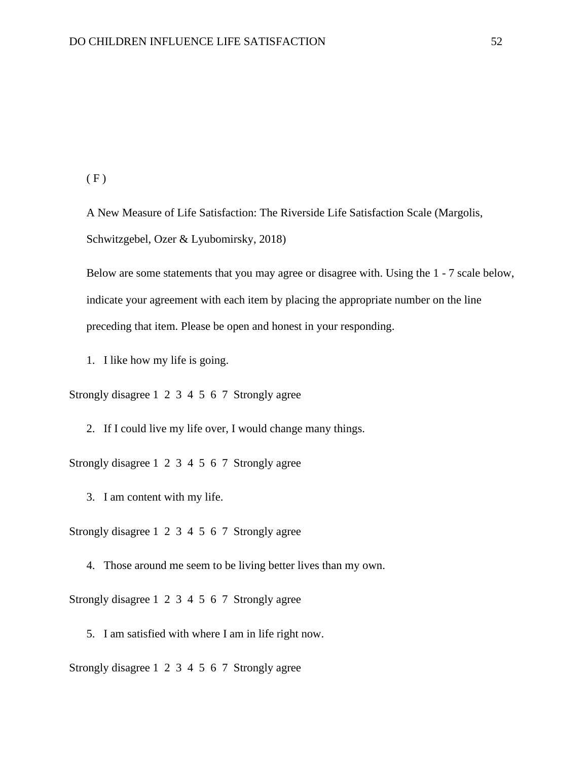$(F)$ 

A New Measure of Life Satisfaction: The Riverside Life Satisfaction Scale (Margolis, Schwitzgebel, Ozer & Lyubomirsky, 2018)

Below are some statements that you may agree or disagree with. Using the 1 - 7 scale below, indicate your agreement with each item by placing the appropriate number on the line preceding that item. Please be open and honest in your responding.

1. I like how my life is going.

Strongly disagree 1 2 3 4 5 6 7 Strongly agree

2. If I could live my life over, I would change many things.

Strongly disagree 1 2 3 4 5 6 7 Strongly agree

3. I am content with my life.

Strongly disagree 1 2 3 4 5 6 7 Strongly agree

4. Those around me seem to be living better lives than my own.

Strongly disagree 1 2 3 4 5 6 7 Strongly agree

5. I am satisfied with where I am in life right now.

Strongly disagree 1 2 3 4 5 6 7 Strongly agree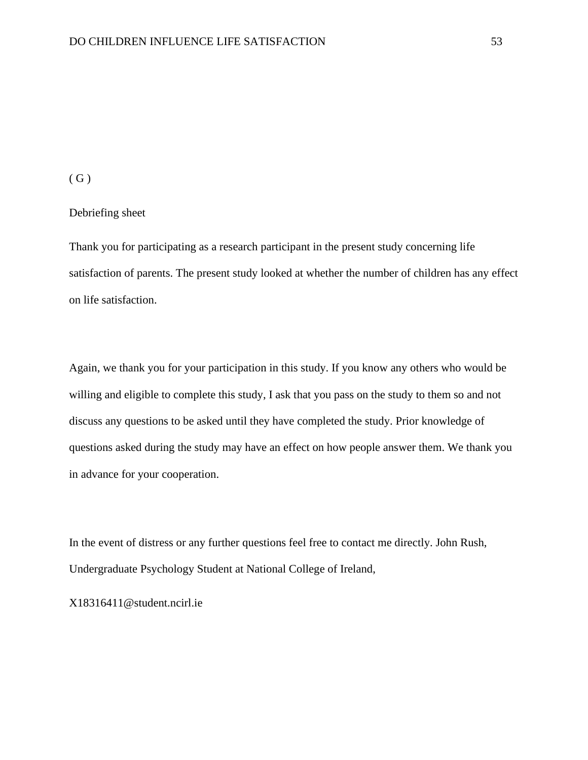#### $(G)$

#### Debriefing sheet

Thank you for participating as a research participant in the present study concerning life satisfaction of parents. The present study looked at whether the number of children has any effect on life satisfaction.

Again, we thank you for your participation in this study. If you know any others who would be willing and eligible to complete this study, I ask that you pass on the study to them so and not discuss any questions to be asked until they have completed the study. Prior knowledge of questions asked during the study may have an effect on how people answer them. We thank you in advance for your cooperation.

In the event of distress or any further questions feel free to contact me directly. John Rush, Undergraduate Psychology Student at National College of Ireland,

X18316411@student.ncirl.ie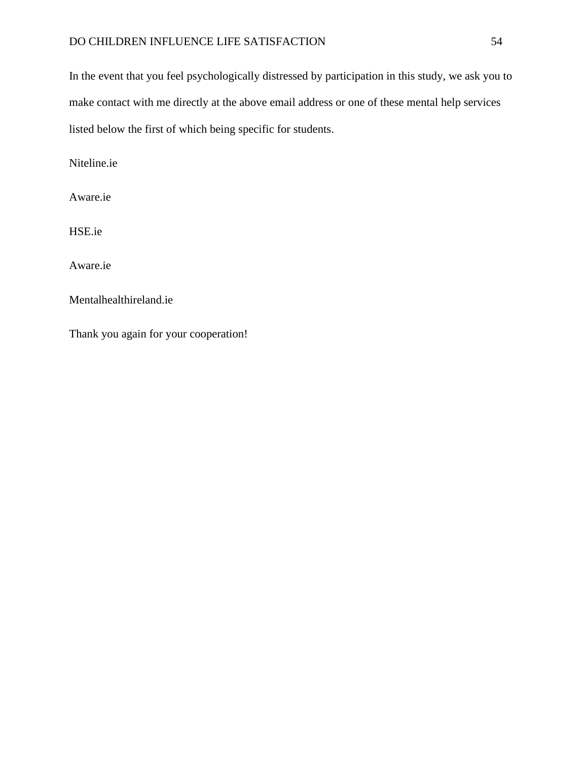### DO CHILDREN INFLUENCE LIFE SATISFACTION 54

In the event that you feel psychologically distressed by participation in this study, we ask you to make contact with me directly at the above email address or one of these mental help services listed below the first of which being specific for students.

Niteline.ie

Aware.ie

HSE.ie

Aware.ie

Mentalhealthireland.ie

Thank you again for your cooperation!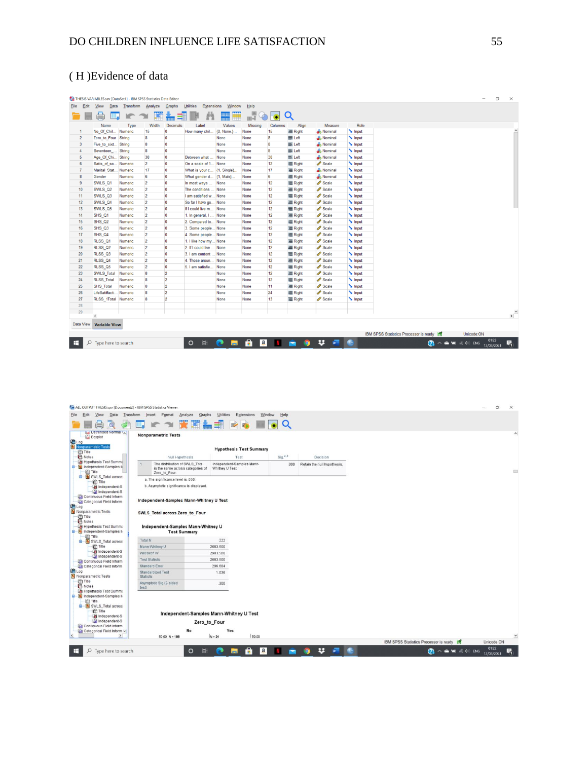#### ( H )Evidence of data

|                |                                          |           |                | THESIS VARIABLES.sav [DataSet1] - IBM SPSS Statistics Data Editor |                                  |            |                |             |                  |                     |              |                                        |                                                                               |            | σ<br>$\times$ |
|----------------|------------------------------------------|-----------|----------------|-------------------------------------------------------------------|----------------------------------|------------|----------------|-------------|------------------|---------------------|--------------|----------------------------------------|-------------------------------------------------------------------------------|------------|---------------|
| Edit<br>Eile   | View<br>Data                             | Transform | Analyze        | Graphs                                                            | Utilities<br><b>Extensions</b>   | Window     | Help           |             |                  |                     |              |                                        |                                                                               |            |               |
|                |                                          |           | 譚              |                                                                   | m                                |            | ⊞लॅ            | $\bullet$   | Q                |                     |              |                                        |                                                                               |            |               |
|                | Name                                     | Type      | Width          | <b>Decimals</b>                                                   | Label                            | Values     | <b>Missing</b> | Columns     | Align            | Measure             | Role         |                                        |                                                                               |            |               |
|                | No Of Chil                               | Numeric   | 15             | $\overline{\mathbf{0}}$                                           | How many chil.                   | {0, None.} | None           | 15          | <b>三 Right</b>   | Nominal             | Input        |                                        |                                                                               |            |               |
| $\overline{2}$ | Zero to Four                             | String    | 8              | $\overline{\mathbf{0}}$                                           |                                  | None       | None           | 8           | E Left           | Nominal             | Input        |                                        |                                                                               |            |               |
| 3              | Five to sixt                             | String    | 8              | $\overline{\mathbf{0}}$                                           |                                  | None       | None           | 8           | E Left           | & Nominal           | Input        |                                        |                                                                               |            |               |
| 4              | Seventeen                                | String    | 8              | $\overline{\mathbf{0}}$                                           |                                  | None       | None           | 8           | 三 Left           | & Nominal           | Input        |                                        |                                                                               |            |               |
| 5              | Age Of Chi                               | String    | 38             | $\overline{\mathbf{0}}$                                           | Between what                     | None       | None           | 38          | E Left           | Nominal             | Input        |                                        |                                                                               |            |               |
| 6              | Satis of so                              | Numeric   | $\overline{2}$ | $\overline{0}$                                                    | On a scale of 1                  | None       | None           | 12          | <b>三 Right</b>   | $\mathscr{P}$ Scale | Input        |                                        |                                                                               |            |               |
| $\overline{7}$ | Marital Stat Numeric                     |           | 17             | $\overline{0}$                                                    | What is your c {1, Single}.      |            | None           | 17          | <b>三 Right</b>   | Nominal             | Input        |                                        |                                                                               |            |               |
| 8              | Gender                                   | Numeric   | 6              | $\overline{\mathbf{0}}$                                           | What gender d {1, Male}          |            | None           | 6           | <b>三 Right</b>   | Nominal             | Input        |                                        |                                                                               |            |               |
| 9              | SWLS Q1                                  | Numeric   | $\overline{2}$ | $\overline{\mathbf{0}}$                                           | In most ways                     | None       | None           | 12          | <b>三 Right</b>   | $\mathscr{P}$ Scale | Input        |                                        |                                                                               |            |               |
| 10             | SWLS_Q2                                  | Numeric   | $\overline{2}$ | $\overline{0}$                                                    | The conditions                   | None       | None           | 12          | <b>III</b> Right | $\mathscr{P}$ Scale | Input        |                                        |                                                                               |            |               |
| 11             | SWLS <sub>Q3</sub>                       | Numeric   | $\overline{2}$ | $\overline{0}$                                                    | I am satisfied w                 | None       | None           | 12          | <b>■ Right</b>   | Scale               | Input        |                                        |                                                                               |            |               |
| 12             | SWLS Q4                                  | Numeric   | $\overline{2}$ | $\mathbf{0}$                                                      | So far I have go                 | None       | None           | 12          | = Right          | Scale               | Input        |                                        |                                                                               |            |               |
| 13             | SWLS Q5                                  | Numeric   | $\overline{2}$ | $\mathbf{0}$                                                      | If I could live m                | None       | None           | 12          | <b>建 Right</b>   | Scale               | Input        |                                        |                                                                               |            |               |
| 14             | SHS_Q1                                   | Numeric   | $\overline{2}$ | $\Omega$                                                          | 1. In general, I                 | None       | None           | 12          | <b>■ Right</b>   | Scale               | Input        |                                        |                                                                               |            |               |
| 15             | SHS_Q2                                   | Numeric   | $\overline{2}$ | $\overline{\mathbf{0}}$                                           | 2. Compared to                   | None       | None           | 12          | <b>三 Right</b>   | Scale               | Input        |                                        |                                                                               |            |               |
| 16             | SHS_Q3                                   | Numeric   | $\overline{2}$ | $\mathbf 0$                                                       | 3. Some people None              |            | None           | 12          | <b>三 Right</b>   | Scale               | Input        |                                        |                                                                               |            |               |
| 17             | SHS_Q4                                   | Numeric   | $\overline{2}$ | $\mathbf 0$                                                       | 4. Some people None              |            | None           | 12          | <b>三 Right</b>   | Scale               | Input        |                                        |                                                                               |            |               |
| 18             | RLSS_Q1                                  | Numeric   | $\overline{2}$ | $\mathbf 0$                                                       | 1. I like how my None            |            | None           | 12          | <b>■ Right</b>   | Scale               | $\sim$ Input |                                        |                                                                               |            |               |
| 19             | RLSS <sub>Q2</sub>                       | Numeric   | $\overline{2}$ | $\overline{\mathbf{0}}$                                           | 2. If I could live               | None       | None           | 12          | <b>三 Right</b>   | Scale               | Input        |                                        |                                                                               |            |               |
| 20             | RLSS <sub>Q3</sub>                       | Numeric   | $\overline{2}$ | $\overline{0}$                                                    | 3. I am content                  | None       | None           | 12          | <b>E</b> Right   | $\mathscr{P}$ Scale | Input        |                                        |                                                                               |            |               |
| 21             | RLSS_Q4                                  | Numeric   | $\overline{2}$ | $\overline{\mathbf{0}}$                                           | 4. Those aroun.                  | None       | None           | 12          | <b>署 Right</b>   | $\mathscr{P}$ Scale | Input        |                                        |                                                                               |            |               |
| 22             | RLSS <sub>Q5</sub>                       | Numeric   | $\overline{2}$ | $\mathbf{0}$                                                      | 5. I am satisfie.                | None       | None           | 12          | <b>三 Right</b>   | Scale               | Input        |                                        |                                                                               |            |               |
| 23             | <b>SWLS Total</b>                        | Numeric   | 8              | $\overline{2}$                                                    |                                  | None       | None           | 12          | <b>三 Right</b>   | Scale               | Input        |                                        |                                                                               |            |               |
| 24             | <b>RLSS</b> Total                        | Numeric   | 8              | $\overline{2}$                                                    |                                  | None       | None           | 12          | <b>署 Right</b>   | $\mathscr{P}$ Scale | Input        |                                        |                                                                               |            |               |
| 25             | SHS_Total                                | Numeric   | 8              | $\overline{2}$                                                    |                                  | None       | None           | 11          | 三 Right          | Scale               | Input        |                                        |                                                                               |            |               |
| 26             | LifeSatiffacti Numeric                   |           | 8              | $\overline{2}$                                                    |                                  | None       | None           | 24          | <b>三 Right</b>   | Scale               | Input        |                                        |                                                                               |            |               |
| 27             | RLSS_1Total Numeric                      |           | 8              | $\overline{2}$                                                    |                                  | None       | None           | 13          | <b>三 Right</b>   | Scale               | Input        |                                        |                                                                               |            |               |
| 28             |                                          |           |                |                                                                   |                                  |            |                |             |                  |                     |              |                                        |                                                                               |            |               |
| 29             |                                          |           |                |                                                                   |                                  |            |                |             |                  |                     |              |                                        |                                                                               |            | $\rightarrow$ |
|                |                                          |           |                |                                                                   |                                  |            |                |             |                  |                     |              |                                        |                                                                               |            |               |
|                | Data View Variable View                  |           |                |                                                                   |                                  |            |                |             |                  |                     |              |                                        |                                                                               |            |               |
|                |                                          |           |                |                                                                   |                                  |            |                |             |                  |                     |              | IBM SPSS Statistics Processor is ready |                                                                               | Unicode:ON |               |
|                | $\Box$ $\Box$ $\Box$ Type here to search |           |                |                                                                   | $\Box$ $\blacksquare$<br>$\circ$ | <b>PO</b>  | ÷.<br> a       | <b>SALE</b> | $\bullet$<br>e   | $w = 1$<br>ᅓ.       |              |                                        | $\bigcirc$ $\wedge$ $\bullet$ $\bullet$ $\bullet$ $\circ$ $\circ$ $\circ$ ENG |            | 01:23<br>民    |